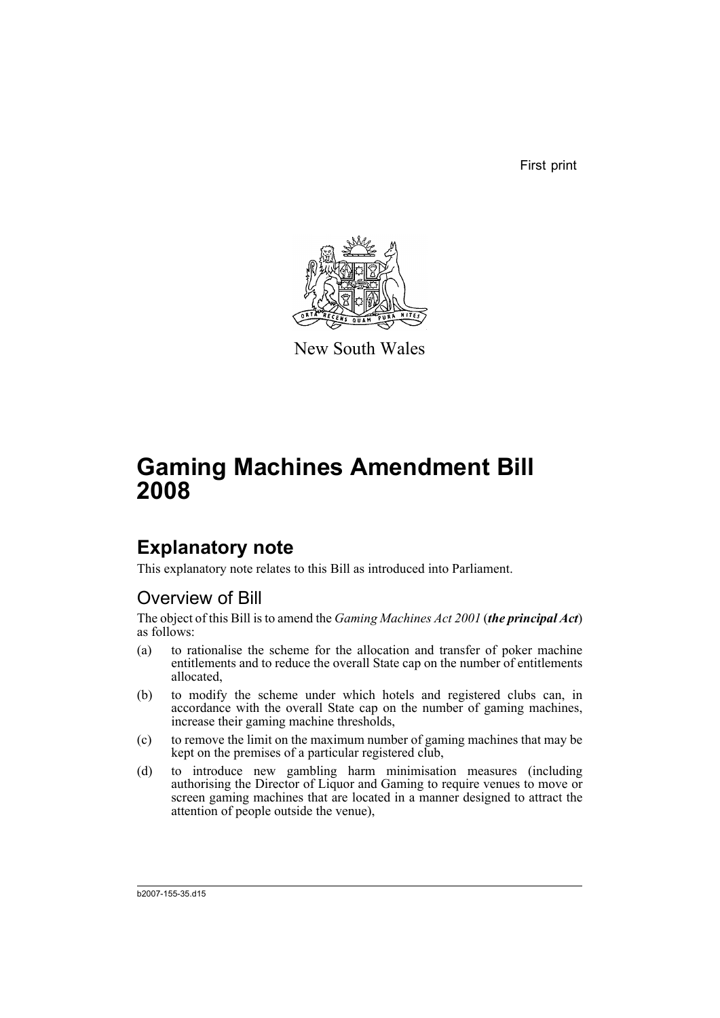First print



New South Wales

# **Gaming Machines Amendment Bill 2008**

# **Explanatory note**

This explanatory note relates to this Bill as introduced into Parliament.

## Overview of Bill

The object of this Bill is to amend the *Gaming Machines Act 2001* (*the principal Act*) as follows:

- (a) to rationalise the scheme for the allocation and transfer of poker machine entitlements and to reduce the overall State cap on the number of entitlements allocated,
- (b) to modify the scheme under which hotels and registered clubs can, in accordance with the overall State cap on the number of gaming machines, increase their gaming machine thresholds,
- (c) to remove the limit on the maximum number of gaming machines that may be kept on the premises of a particular registered club,
- (d) to introduce new gambling harm minimisation measures (including authorising the Director of Liquor and Gaming to require venues to move or screen gaming machines that are located in a manner designed to attract the attention of people outside the venue),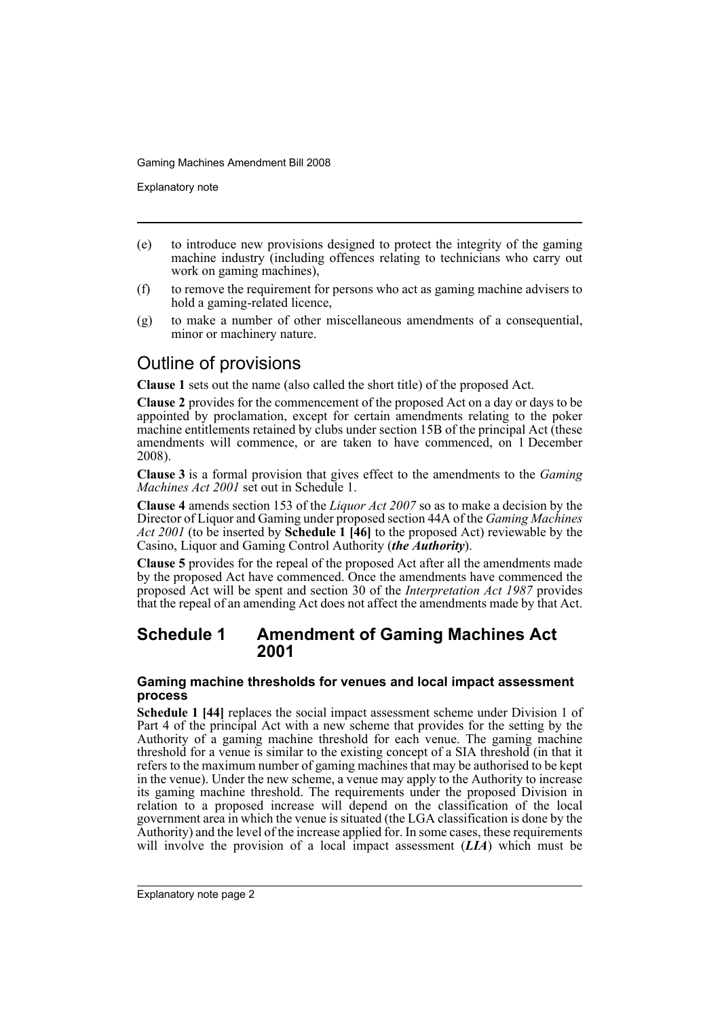Explanatory note

- (e) to introduce new provisions designed to protect the integrity of the gaming machine industry (including offences relating to technicians who carry out work on gaming machines),
- (f) to remove the requirement for persons who act as gaming machine advisers to hold a gaming-related licence,
- (g) to make a number of other miscellaneous amendments of a consequential, minor or machinery nature.

## Outline of provisions

**Clause 1** sets out the name (also called the short title) of the proposed Act.

**Clause 2** provides for the commencement of the proposed Act on a day or days to be appointed by proclamation, except for certain amendments relating to the poker machine entitlements retained by clubs under section 15B of the principal Act (these amendments will commence, or are taken to have commenced, on 1 December 2008).

**Clause 3** is a formal provision that gives effect to the amendments to the *Gaming Machines Act 2001* set out in Schedule 1.

**Clause 4** amends section 153 of the *Liquor Act 2007* so as to make a decision by the Director of Liquor and Gaming under proposed section 44A of the *Gaming Machines Act 2001* (to be inserted by **Schedule 1 [46]** to the proposed Act) reviewable by the Casino, Liquor and Gaming Control Authority (*the Authority*).

**Clause 5** provides for the repeal of the proposed Act after all the amendments made by the proposed Act have commenced. Once the amendments have commenced the proposed Act will be spent and section 30 of the *Interpretation Act 1987* provides that the repeal of an amending Act does not affect the amendments made by that Act.

### **Schedule 1 Amendment of Gaming Machines Act 2001**

### **Gaming machine thresholds for venues and local impact assessment process**

**Schedule 1 [44]** replaces the social impact assessment scheme under Division 1 of Part 4 of the principal Act with a new scheme that provides for the setting by the Authority of a gaming machine threshold for each venue. The gaming machine threshold for a venue is similar to the existing concept of a SIA threshold (in that it refers to the maximum number of gaming machines that may be authorised to be kept in the venue). Under the new scheme, a venue may apply to the Authority to increase its gaming machine threshold. The requirements under the proposed Division in relation to a proposed increase will depend on the classification of the local government area in which the venue is situated (the LGA classification is done by the Authority) and the level of the increase applied for. In some cases, these requirements will involve the provision of a local impact assessment (*LIA*) which must be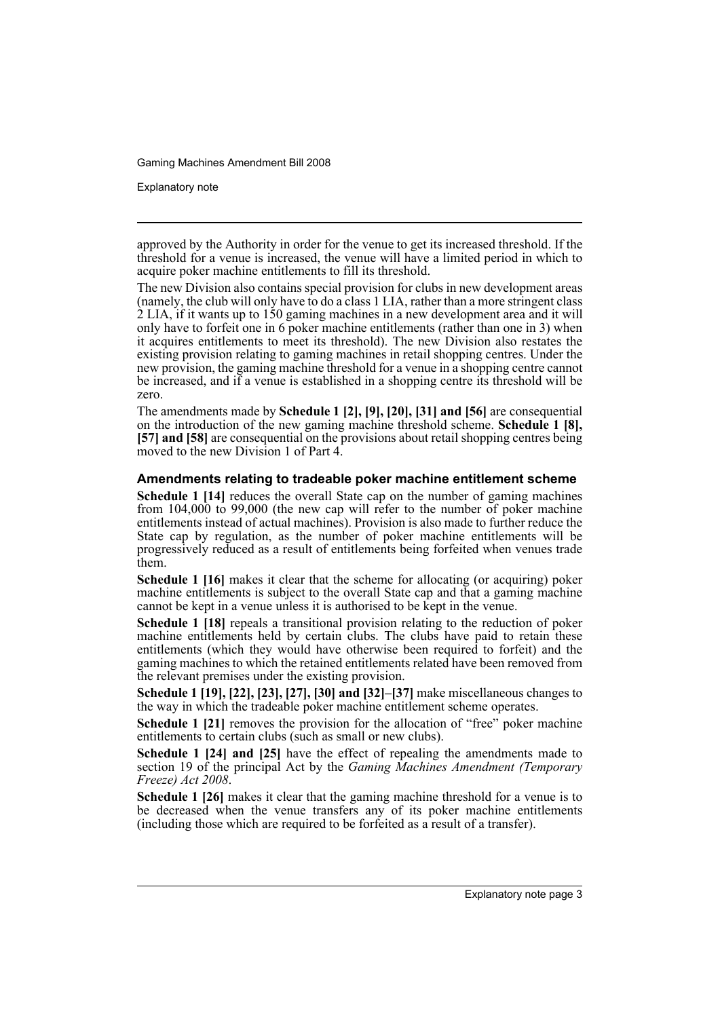Explanatory note

approved by the Authority in order for the venue to get its increased threshold. If the threshold for a venue is increased, the venue will have a limited period in which to acquire poker machine entitlements to fill its threshold.

The new Division also contains special provision for clubs in new development areas (namely, the club will only have to do a class 1 LIA, rather than a more stringent class 2 LIA, if it wants up to 150 gaming machines in a new development area and it will only have to forfeit one in 6 poker machine entitlements (rather than one in 3) when it acquires entitlements to meet its threshold). The new Division also restates the existing provision relating to gaming machines in retail shopping centres. Under the new provision, the gaming machine threshold for a venue in a shopping centre cannot be increased, and if a venue is established in a shopping centre its threshold will be zero.

The amendments made by **Schedule 1 [2], [9], [20], [31] and [56]** are consequential on the introduction of the new gaming machine threshold scheme. **Schedule 1 [8], [57] and [58]** are consequential on the provisions about retail shopping centres being moved to the new Division 1 of Part 4.

#### **Amendments relating to tradeable poker machine entitlement scheme**

**Schedule 1 [14]** reduces the overall State cap on the number of gaming machines from 104,000 to 99,000 (the new cap will refer to the number of poker machine entitlements instead of actual machines). Provision is also made to further reduce the State cap by regulation, as the number of poker machine entitlements will be progressively reduced as a result of entitlements being forfeited when venues trade them.

**Schedule 1 [16]** makes it clear that the scheme for allocating (or acquiring) poker machine entitlements is subject to the overall State cap and that a gaming machine cannot be kept in a venue unless it is authorised to be kept in the venue.

**Schedule 1 [18]** repeals a transitional provision relating to the reduction of poker machine entitlements held by certain clubs. The clubs have paid to retain these entitlements (which they would have otherwise been required to forfeit) and the gaming machines to which the retained entitlements related have been removed from the relevant premises under the existing provision.

**Schedule 1 [19], [22], [23], [27], [30] and [32]–[37]** make miscellaneous changes to the way in which the tradeable poker machine entitlement scheme operates.

**Schedule 1 [21]** removes the provision for the allocation of "free" poker machine entitlements to certain clubs (such as small or new clubs).

**Schedule 1 [24] and [25]** have the effect of repealing the amendments made to section 19 of the principal Act by the *Gaming Machines Amendment (Temporary Freeze) Act 2008*.

**Schedule 1 [26]** makes it clear that the gaming machine threshold for a venue is to be decreased when the venue transfers any of its poker machine entitlements (including those which are required to be forfeited as a result of a transfer).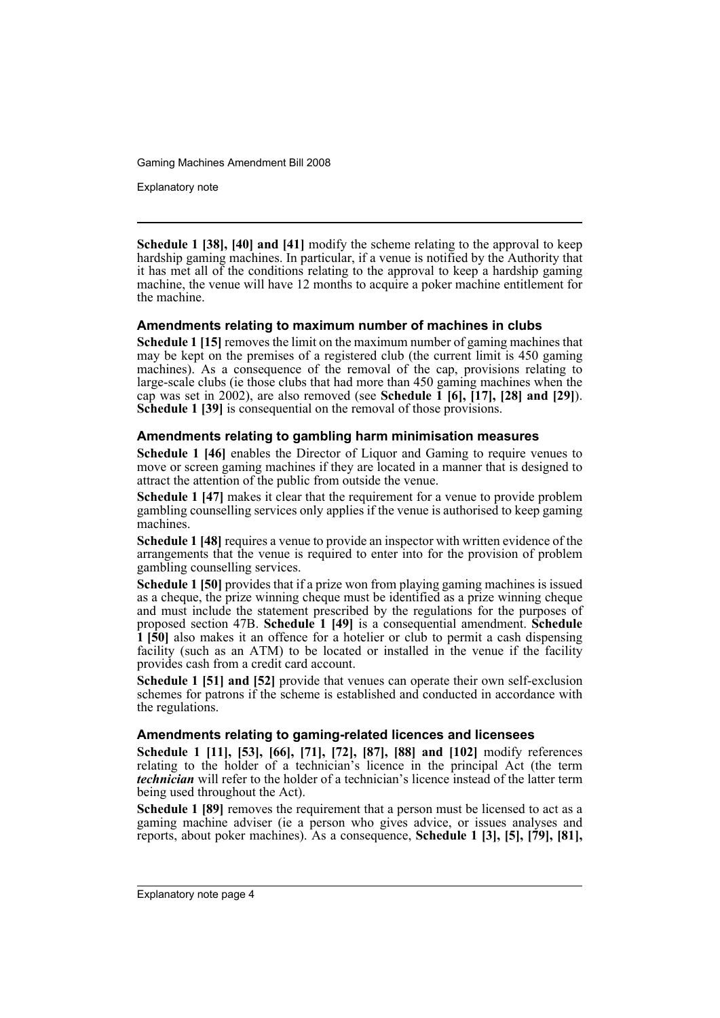Explanatory note

**Schedule 1 [38], [40] and [41]** modify the scheme relating to the approval to keep hardship gaming machines. In particular, if a venue is notified by the Authority that it has met all of the conditions relating to the approval to keep a hardship gaming machine, the venue will have 12 months to acquire a poker machine entitlement for the machine.

### **Amendments relating to maximum number of machines in clubs**

**Schedule 1 [15]** removes the limit on the maximum number of gaming machines that may be kept on the premises of a registered club (the current limit is 450 gaming machines). As a consequence of the removal of the cap, provisions relating to large-scale clubs (ie those clubs that had more than 450 gaming machines when the cap was set in 2002), are also removed (see **Schedule 1 [6], [17], [28] and [29]**). **Schedule 1 [39]** is consequential on the removal of those provisions.

### **Amendments relating to gambling harm minimisation measures**

**Schedule 1 [46]** enables the Director of Liquor and Gaming to require venues to move or screen gaming machines if they are located in a manner that is designed to attract the attention of the public from outside the venue.

**Schedule 1 [47]** makes it clear that the requirement for a venue to provide problem gambling counselling services only applies if the venue is authorised to keep gaming machines.

**Schedule 1 [48]** requires a venue to provide an inspector with written evidence of the arrangements that the venue is required to enter into for the provision of problem gambling counselling services.

**Schedule 1 [50]** provides that if a prize won from playing gaming machines is issued as a cheque, the prize winning cheque must be identified as a prize winning cheque and must include the statement prescribed by the regulations for the purposes of proposed section 47B. **Schedule 1 [49]** is a consequential amendment. **Schedule 1 [50]** also makes it an offence for a hotelier or club to permit a cash dispensing facility (such as an ATM) to be located or installed in the venue if the facility provides cash from a credit card account.

**Schedule 1 [51] and [52]** provide that venues can operate their own self-exclusion schemes for patrons if the scheme is established and conducted in accordance with the regulations.

### **Amendments relating to gaming-related licences and licensees**

**Schedule 1 [11], [53], [66], [71], [72], [87], [88] and [102]** modify references relating to the holder of a technician's licence in the principal Act (the term *technician* will refer to the holder of a technician's licence instead of the latter term being used throughout the Act).

**Schedule 1 [89]** removes the requirement that a person must be licensed to act as a gaming machine adviser (ie a person who gives advice, or issues analyses and reports, about poker machines). As a consequence, **Schedule 1 [3], [5], [79], [81],**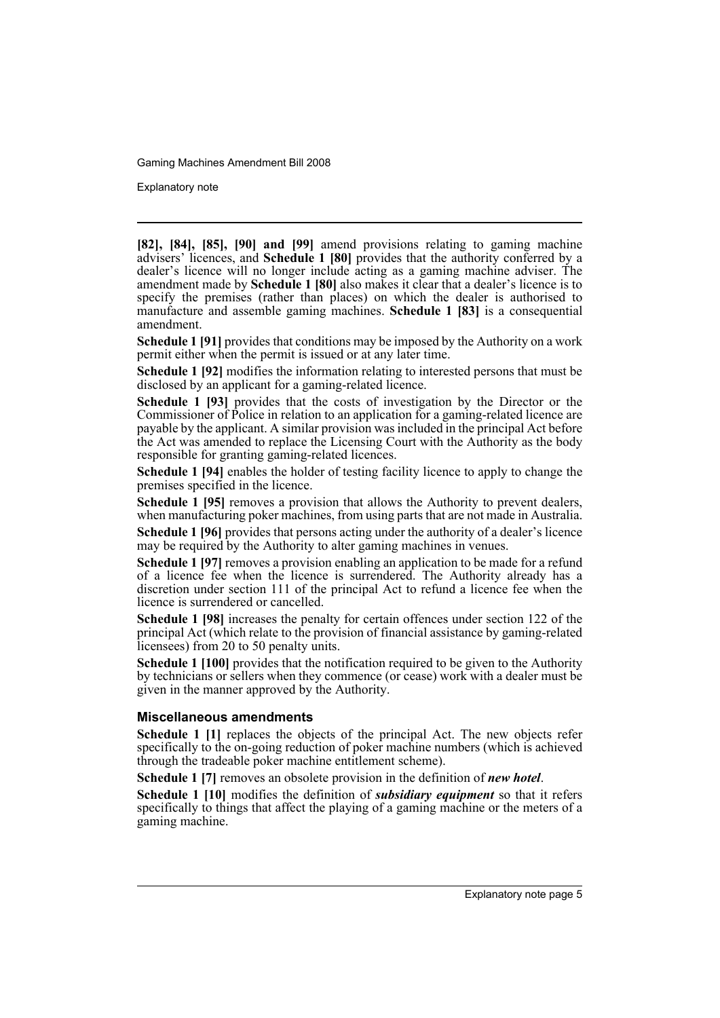Explanatory note

**[82], [84], [85], [90] and [99]** amend provisions relating to gaming machine advisers' licences, and **Schedule 1 [80]** provides that the authority conferred by a dealer's licence will no longer include acting as a gaming machine adviser. The amendment made by **Schedule 1 [80]** also makes it clear that a dealer's licence is to specify the premises (rather than places) on which the dealer is authorised to manufacture and assemble gaming machines. **Schedule 1 [83]** is a consequential amendment.

**Schedule 1 [91]** provides that conditions may be imposed by the Authority on a work permit either when the permit is issued or at any later time.

**Schedule 1 [92]** modifies the information relating to interested persons that must be disclosed by an applicant for a gaming-related licence.

**Schedule 1 [93]** provides that the costs of investigation by the Director or the Commissioner of Police in relation to an application for a gaming-related licence are payable by the applicant. A similar provision was included in the principal Act before the Act was amended to replace the Licensing Court with the Authority as the body responsible for granting gaming-related licences.

**Schedule 1 [94]** enables the holder of testing facility licence to apply to change the premises specified in the licence.

**Schedule 1 [95]** removes a provision that allows the Authority to prevent dealers, when manufacturing poker machines, from using parts that are not made in Australia.

**Schedule 1 [96]** provides that persons acting under the authority of a dealer's licence may be required by the Authority to alter gaming machines in venues.

**Schedule 1 [97]** removes a provision enabling an application to be made for a refund of a licence fee when the licence is surrendered. The Authority already has a discretion under section 111 of the principal Act to refund a licence fee when the licence is surrendered or cancelled.

**Schedule 1 [98]** increases the penalty for certain offences under section 122 of the principal Act (which relate to the provision of financial assistance by gaming-related licensees) from 20 to 50 penalty units.

**Schedule 1 [100]** provides that the notification required to be given to the Authority by technicians or sellers when they commence (or cease) work with a dealer must be given in the manner approved by the Authority.

#### **Miscellaneous amendments**

**Schedule 1 [1]** replaces the objects of the principal Act. The new objects refer specifically to the on-going reduction of poker machine numbers (which is achieved through the tradeable poker machine entitlement scheme).

**Schedule 1 [7]** removes an obsolete provision in the definition of *new hotel*.

**Schedule 1 [10]** modifies the definition of *subsidiary equipment* so that it refers specifically to things that affect the playing of a gaming machine or the meters of a gaming machine.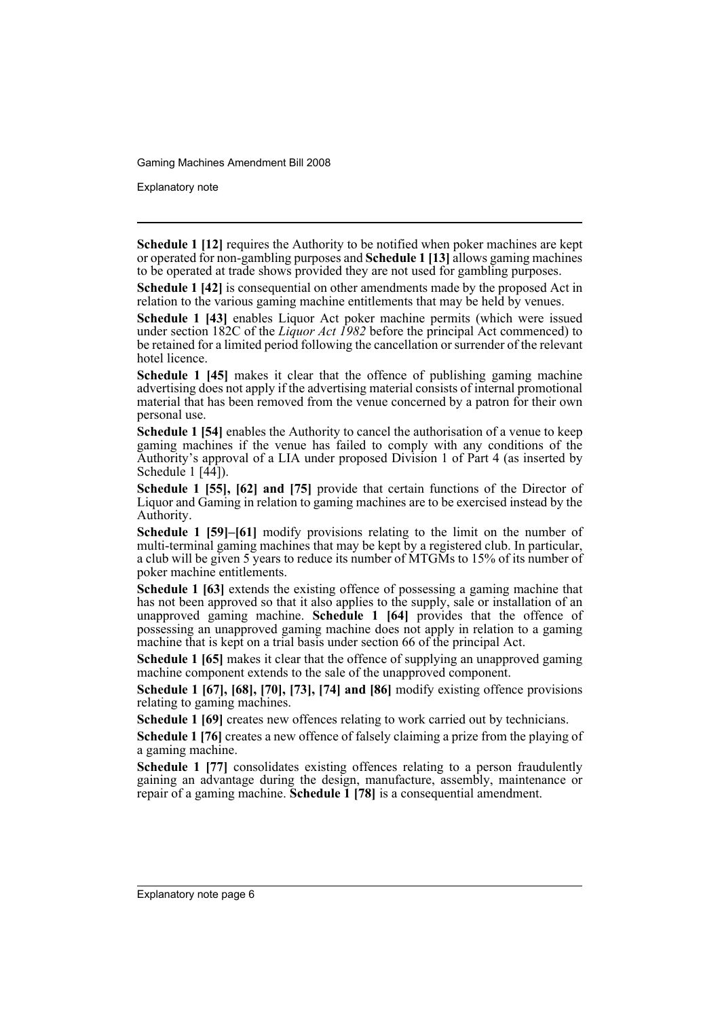Explanatory note

**Schedule 1 [12]** requires the Authority to be notified when poker machines are kept or operated for non-gambling purposes and **Schedule 1 [13]** allows gaming machines to be operated at trade shows provided they are not used for gambling purposes.

**Schedule 1 [42]** is consequential on other amendments made by the proposed Act in relation to the various gaming machine entitlements that may be held by venues.

**Schedule 1 [43]** enables Liquor Act poker machine permits (which were issued under section 182C of the *Liquor Act 1982* before the principal Act commenced) to be retained for a limited period following the cancellation or surrender of the relevant hotel licence.

**Schedule 1 [45]** makes it clear that the offence of publishing gaming machine advertising does not apply if the advertising material consists of internal promotional material that has been removed from the venue concerned by a patron for their own personal use.

**Schedule 1 [54]** enables the Authority to cancel the authorisation of a venue to keep gaming machines if the venue has failed to comply with any conditions of the Authority's approval of a LIA under proposed Division 1 of Part 4 (as inserted by Schedule  $1 \overline{44}$ .

**Schedule 1 [55], [62] and [75]** provide that certain functions of the Director of Liquor and Gaming in relation to gaming machines are to be exercised instead by the Authority.

**Schedule 1 [59]–[61]** modify provisions relating to the limit on the number of multi-terminal gaming machines that may be kept by a registered club. In particular, a club will be given 5 years to reduce its number of MTGMs to 15% of its number of poker machine entitlements.

**Schedule 1 [63]** extends the existing offence of possessing a gaming machine that has not been approved so that it also applies to the supply, sale or installation of an unapproved gaming machine. **Schedule 1 [64]** provides that the offence of possessing an unapproved gaming machine does not apply in relation to a gaming machine that is kept on a trial basis under section 66 of the principal Act.

**Schedule 1 [65]** makes it clear that the offence of supplying an unapproved gaming machine component extends to the sale of the unapproved component.

**Schedule 1 [67], [68], [70], [73], [74] and [86]** modify existing offence provisions relating to gaming machines.

**Schedule 1 [69]** creates new offences relating to work carried out by technicians.

**Schedule 1 [76]** creates a new offence of falsely claiming a prize from the playing of a gaming machine.

**Schedule 1 [77]** consolidates existing offences relating to a person fraudulently gaining an advantage during the design, manufacture, assembly, maintenance or repair of a gaming machine. **Schedule 1 [78]** is a consequential amendment.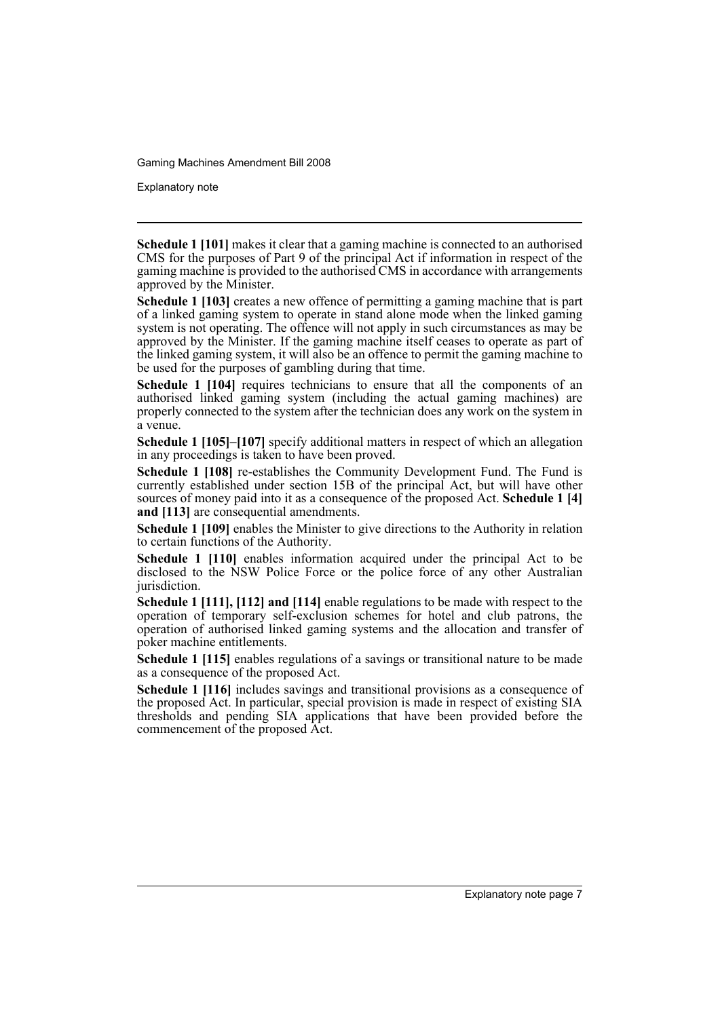Explanatory note

**Schedule 1 [101]** makes it clear that a gaming machine is connected to an authorised CMS for the purposes of Part 9 of the principal Act if information in respect of the gaming machine is provided to the authorised CMS in accordance with arrangements approved by the Minister.

**Schedule 1 [103]** creates a new offence of permitting a gaming machine that is part of a linked gaming system to operate in stand alone mode when the linked gaming system is not operating. The offence will not apply in such circumstances as may be approved by the Minister. If the gaming machine itself ceases to operate as part of the linked gaming system, it will also be an offence to permit the gaming machine to be used for the purposes of gambling during that time.

**Schedule 1 [104]** requires technicians to ensure that all the components of an authorised linked gaming system (including the actual gaming machines) are properly connected to the system after the technician does any work on the system in a venue.

**Schedule 1 [105]–[107]** specify additional matters in respect of which an allegation in any proceedings is taken to have been proved.

**Schedule 1 [108]** re-establishes the Community Development Fund. The Fund is currently established under section 15B of the principal Act, but will have other sources of money paid into it as a consequence of the proposed Act. **Schedule 1 [4] and [113]** are consequential amendments.

**Schedule 1 [109]** enables the Minister to give directions to the Authority in relation to certain functions of the Authority.

**Schedule 1 [110]** enables information acquired under the principal Act to be disclosed to the NSW Police Force or the police force of any other Australian jurisdiction.

**Schedule 1 [111], [112] and [114]** enable regulations to be made with respect to the operation of temporary self-exclusion schemes for hotel and club patrons, the operation of authorised linked gaming systems and the allocation and transfer of poker machine entitlements.

**Schedule 1 [115]** enables regulations of a savings or transitional nature to be made as a consequence of the proposed Act.

**Schedule 1 [116]** includes savings and transitional provisions as a consequence of the proposed Act. In particular, special provision is made in respect of existing SIA thresholds and pending SIA applications that have been provided before the commencement of the proposed Act.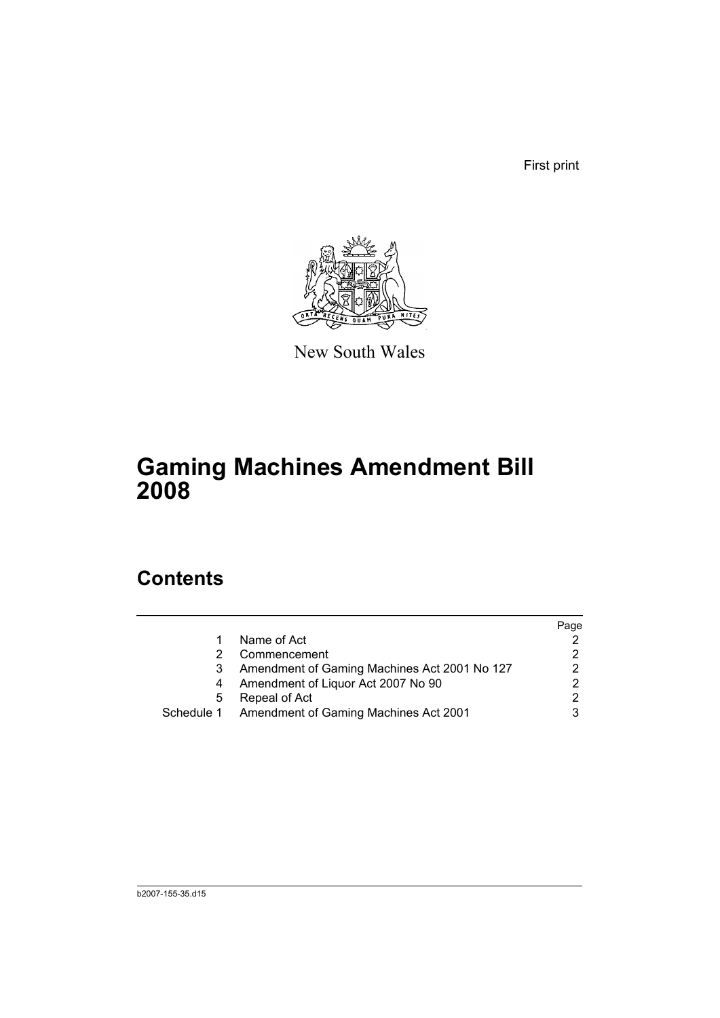First print



New South Wales

# **Gaming Machines Amendment Bill 2008**

# **Contents**

|   |                                                  | Page |
|---|--------------------------------------------------|------|
|   | Name of Act                                      |      |
|   | Commencement                                     | 2    |
|   | Amendment of Gaming Machines Act 2001 No 127     | 2    |
|   | Amendment of Liquor Act 2007 No 90               | 2    |
| 5 | Repeal of Act                                    | 2    |
|   | Schedule 1 Amendment of Gaming Machines Act 2001 |      |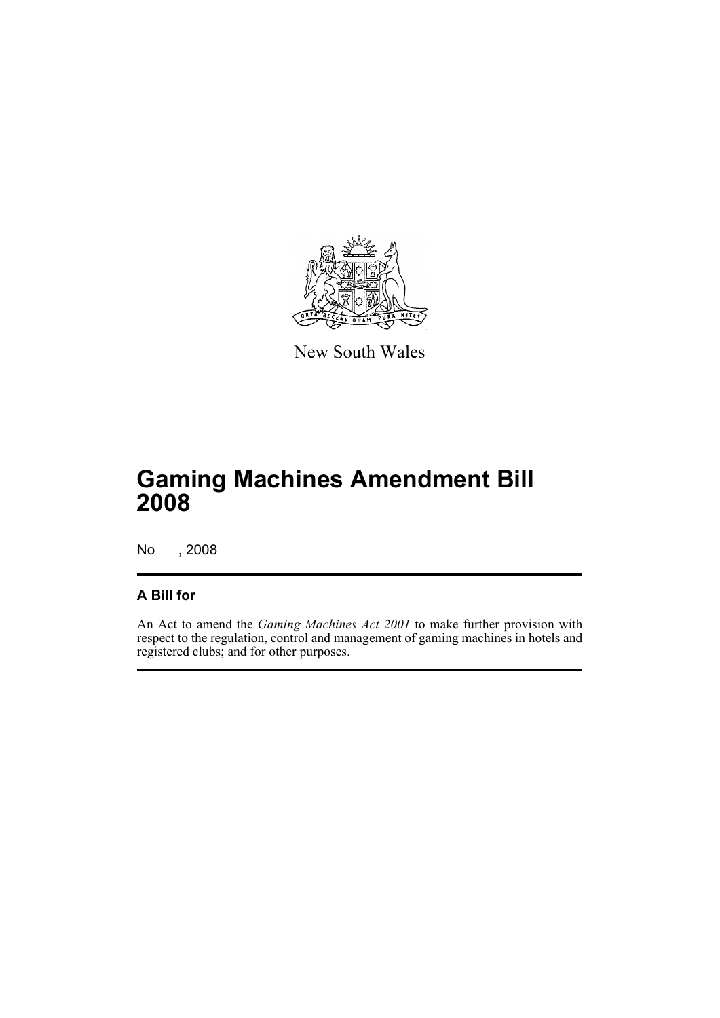

New South Wales

# **Gaming Machines Amendment Bill 2008**

No , 2008

### **A Bill for**

An Act to amend the *Gaming Machines Act 2001* to make further provision with respect to the regulation, control and management of gaming machines in hotels and registered clubs; and for other purposes.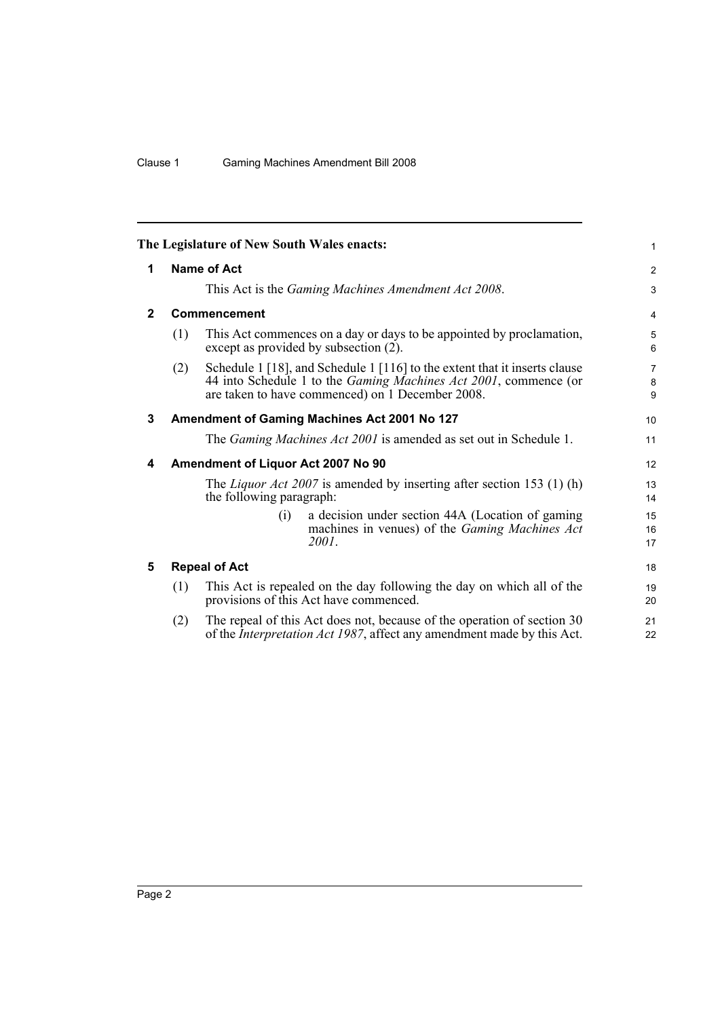<span id="page-11-4"></span><span id="page-11-3"></span><span id="page-11-2"></span><span id="page-11-1"></span><span id="page-11-0"></span>

|              |                                                     | The Legislature of New South Wales enacts:                                                                                                                                                                 | 1              |  |  |  |  |
|--------------|-----------------------------------------------------|------------------------------------------------------------------------------------------------------------------------------------------------------------------------------------------------------------|----------------|--|--|--|--|
| 1            | <b>Name of Act</b>                                  |                                                                                                                                                                                                            |                |  |  |  |  |
|              | This Act is the Gaming Machines Amendment Act 2008. |                                                                                                                                                                                                            |                |  |  |  |  |
| $\mathbf{2}$ |                                                     | <b>Commencement</b>                                                                                                                                                                                        | 4              |  |  |  |  |
|              | (1)                                                 | This Act commences on a day or days to be appointed by proclamation,<br>except as provided by subsection (2).                                                                                              | 5<br>6         |  |  |  |  |
|              | (2)                                                 | Schedule 1 [18], and Schedule 1 [116] to the extent that it inserts clause<br>44 into Schedule 1 to the <i>Gaming Machines Act 2001</i> , commence (or<br>are taken to have commenced) on 1 December 2008. | 7<br>8<br>9    |  |  |  |  |
| 3            | Amendment of Gaming Machines Act 2001 No 127        |                                                                                                                                                                                                            |                |  |  |  |  |
|              |                                                     | The Gaming Machines Act 2001 is amended as set out in Schedule 1.                                                                                                                                          | 11             |  |  |  |  |
| 4            |                                                     | Amendment of Liquor Act 2007 No 90                                                                                                                                                                         | 12             |  |  |  |  |
|              |                                                     | The <i>Liquor Act 2007</i> is amended by inserting after section 153 (1) (h)<br>the following paragraph:                                                                                                   | 13<br>14       |  |  |  |  |
|              |                                                     | a decision under section 44A (Location of gaming<br>(i)<br>machines in venues) of the <i>Gaming Machines Act</i><br>2001.                                                                                  | 15<br>16<br>17 |  |  |  |  |
| 5            |                                                     | <b>Repeal of Act</b>                                                                                                                                                                                       | 18             |  |  |  |  |
|              | (1)                                                 | This Act is repealed on the day following the day on which all of the<br>provisions of this Act have commenced.                                                                                            | 19<br>20       |  |  |  |  |
|              | (2)                                                 | The repeal of this Act does not, because of the operation of section 30<br>of the Interpretation Act 1987, affect any amendment made by this Act.                                                          | 21<br>22       |  |  |  |  |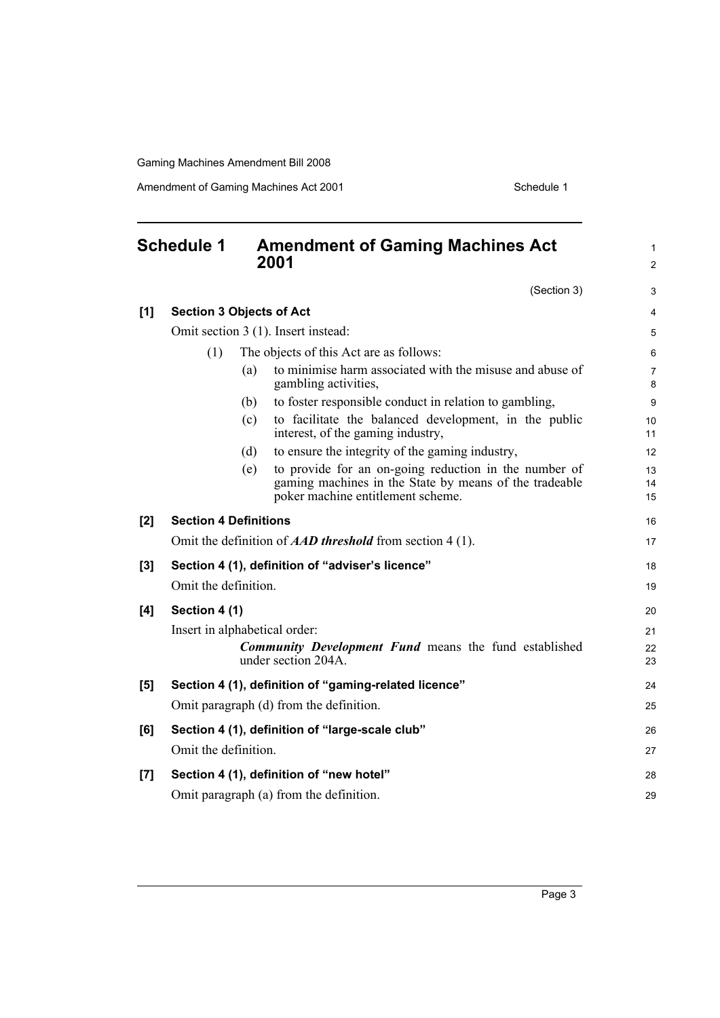Amendment of Gaming Machines Act 2001 Schedule 1

<span id="page-12-0"></span>

| <b>Schedule 1</b> |                                 |     | <b>Amendment of Gaming Machines Act</b><br>2001                                             | $\mathbf{1}$<br>$\overline{2}$ |
|-------------------|---------------------------------|-----|---------------------------------------------------------------------------------------------|--------------------------------|
|                   |                                 |     | (Section 3)                                                                                 | 3                              |
| [1]               | <b>Section 3 Objects of Act</b> |     |                                                                                             | $\overline{4}$                 |
|                   |                                 |     | Omit section 3 (1). Insert instead:                                                         | 5                              |
|                   | (1)                             |     | The objects of this Act are as follows:                                                     | 6                              |
|                   |                                 | (a) | to minimise harm associated with the misuse and abuse of<br>gambling activities,            | $\overline{7}$<br>8            |
|                   |                                 | (b) | to foster responsible conduct in relation to gambling,                                      | 9                              |
|                   |                                 | (c) | to facilitate the balanced development, in the public<br>interest, of the gaming industry,  | 10<br>11                       |
|                   |                                 | (d) | to ensure the integrity of the gaming industry,                                             | 12                             |
|                   |                                 | (e) | to provide for an on-going reduction in the number of                                       | 13                             |
|                   |                                 |     | gaming machines in the State by means of the tradeable<br>poker machine entitlement scheme. | 14<br>15                       |
| [2]               | <b>Section 4 Definitions</b>    |     |                                                                                             | 16                             |
|                   |                                 |     | Omit the definition of <b>AAD</b> threshold from section 4 (1).                             | 17                             |
| [3]               |                                 |     | Section 4 (1), definition of "adviser's licence"                                            | 18                             |
|                   | Omit the definition.            |     |                                                                                             | 19                             |
| [4]               | Section 4 (1)                   |     |                                                                                             | 20                             |
|                   | Insert in alphabetical order:   |     |                                                                                             | 21                             |
|                   |                                 |     | <b>Community Development Fund</b> means the fund established<br>under section 204A.         | 22<br>23                       |
| [5]               |                                 |     | Section 4 (1), definition of "gaming-related licence"                                       | 24                             |
|                   |                                 |     | Omit paragraph (d) from the definition.                                                     | 25                             |
|                   |                                 |     |                                                                                             |                                |
| [6]               |                                 |     | Section 4 (1), definition of "large-scale club"                                             | 26                             |
|                   | Omit the definition.            |     |                                                                                             | 27                             |
| [7]               |                                 |     | Section 4 (1), definition of "new hotel"                                                    | 28                             |
|                   |                                 |     | Omit paragraph (a) from the definition.                                                     | 29                             |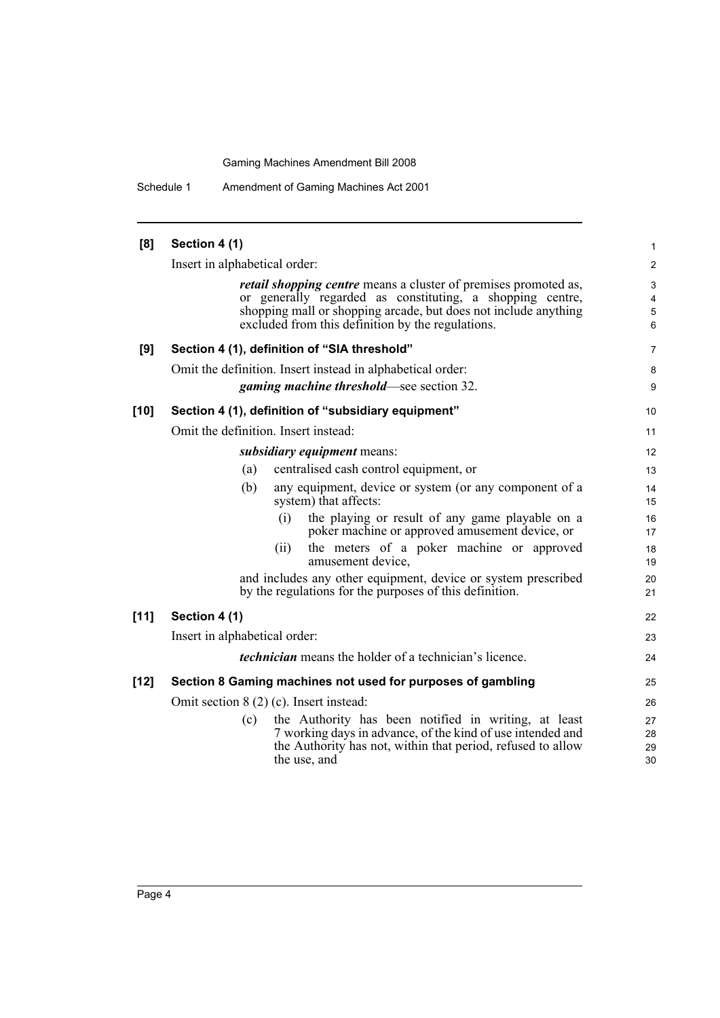Schedule 1 Amendment of Gaming Machines Act 2001

| [8]    | Section 4 (1)                                                                                                                                                                                                                                               | 1                                       |  |  |  |
|--------|-------------------------------------------------------------------------------------------------------------------------------------------------------------------------------------------------------------------------------------------------------------|-----------------------------------------|--|--|--|
|        | Insert in alphabetical order:                                                                                                                                                                                                                               |                                         |  |  |  |
|        | <i>retail shopping centre</i> means a cluster of premises promoted as,<br>or generally regarded as constituting, a shopping centre,<br>shopping mall or shopping arcade, but does not include anything<br>excluded from this definition by the regulations. | 3<br>$\overline{4}$<br>$\mathbf 5$<br>6 |  |  |  |
| [9]    | Section 4 (1), definition of "SIA threshold"                                                                                                                                                                                                                | 7                                       |  |  |  |
|        | Omit the definition. Insert instead in alphabetical order:                                                                                                                                                                                                  | 8                                       |  |  |  |
|        | <b>gaming machine threshold—see section 32.</b>                                                                                                                                                                                                             | 9                                       |  |  |  |
| $[10]$ | Section 4 (1), definition of "subsidiary equipment"                                                                                                                                                                                                         | 10                                      |  |  |  |
|        | Omit the definition. Insert instead:                                                                                                                                                                                                                        | 11                                      |  |  |  |
|        | <i>subsidiary equipment</i> means:                                                                                                                                                                                                                          |                                         |  |  |  |
|        | centralised cash control equipment, or<br>(a)                                                                                                                                                                                                               | 13                                      |  |  |  |
|        | (b)<br>any equipment, device or system (or any component of a<br>system) that affects:                                                                                                                                                                      | 14<br>15                                |  |  |  |
|        | the playing or result of any game playable on a<br>(i)<br>poker machine or approved amusement device, or                                                                                                                                                    | 16<br>17                                |  |  |  |
|        | the meters of a poker machine or approved<br>(ii)<br>amusement device.                                                                                                                                                                                      | 18<br>19                                |  |  |  |
|        | and includes any other equipment, device or system prescribed<br>by the regulations for the purposes of this definition.                                                                                                                                    | 20<br>21                                |  |  |  |
| [11]   | Section 4 (1)                                                                                                                                                                                                                                               | 22                                      |  |  |  |
|        | Insert in alphabetical order:                                                                                                                                                                                                                               | 23                                      |  |  |  |
|        | <i>technician</i> means the holder of a technician's licence.                                                                                                                                                                                               | 24                                      |  |  |  |
| $[12]$ | Section 8 Gaming machines not used for purposes of gambling                                                                                                                                                                                                 | 25                                      |  |  |  |
|        | Omit section $8(2)(c)$ . Insert instead:                                                                                                                                                                                                                    | 26                                      |  |  |  |
|        | the Authority has been notified in writing, at least<br>(c)<br>7 working days in advance, of the kind of use intended and<br>the Authority has not, within that period, refused to allow<br>the use, and                                                    | 27<br>28<br>29<br>30                    |  |  |  |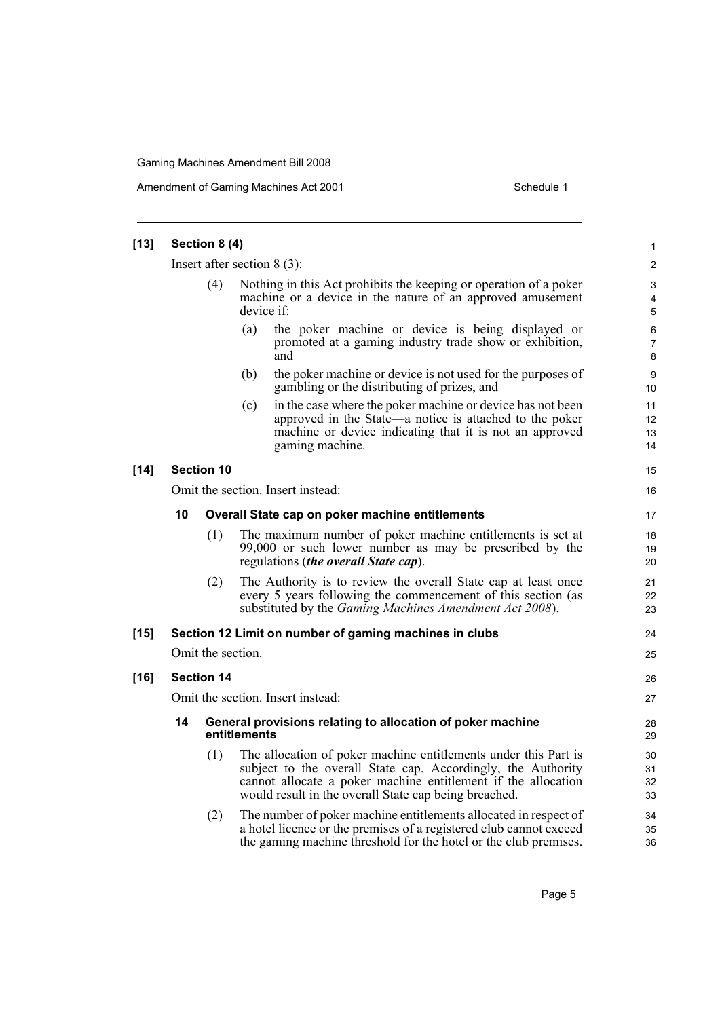Amendment of Gaming Machines Act 2001 Schedule 1

| $[13]$ | Section 8 (4)                 |                   |                                                                                                                                                                                                                                                           |                          |  |  |
|--------|-------------------------------|-------------------|-----------------------------------------------------------------------------------------------------------------------------------------------------------------------------------------------------------------------------------------------------------|--------------------------|--|--|
|        | Insert after section $8(3)$ : |                   |                                                                                                                                                                                                                                                           |                          |  |  |
|        | (4)                           |                   | Nothing in this Act prohibits the keeping or operation of a poker<br>machine or a device in the nature of an approved amusement<br>device if:                                                                                                             | 3<br>4<br>5              |  |  |
|        |                               |                   | (a)<br>the poker machine or device is being displayed or<br>promoted at a gaming industry trade show or exhibition,<br>and                                                                                                                                | 6<br>$\overline{7}$<br>8 |  |  |
|        |                               |                   | (b)<br>the poker machine or device is not used for the purposes of<br>gambling or the distributing of prizes, and                                                                                                                                         | 9<br>10                  |  |  |
|        |                               |                   | in the case where the poker machine or device has not been<br>(c)<br>approved in the State—a notice is attached to the poker<br>machine or device indicating that it is not an approved<br>gaming machine.                                                | 11<br>12<br>13<br>14     |  |  |
| $[14]$ |                               | <b>Section 10</b> |                                                                                                                                                                                                                                                           | 15                       |  |  |
|        |                               |                   | Omit the section. Insert instead:                                                                                                                                                                                                                         | 16                       |  |  |
|        | 10                            |                   | Overall State cap on poker machine entitlements                                                                                                                                                                                                           |                          |  |  |
|        |                               | (1)               | The maximum number of poker machine entitlements is set at<br>99,000 or such lower number as may be prescribed by the<br>regulations (the overall State cap).                                                                                             | 18<br>19<br>20           |  |  |
|        |                               | (2)               | The Authority is to review the overall State cap at least once<br>every 5 years following the commencement of this section (as<br>substituted by the <i>Gaming Machines Amendment Act 2008</i> ).                                                         | 21<br>22<br>23           |  |  |
| $[15]$ |                               |                   | Section 12 Limit on number of gaming machines in clubs                                                                                                                                                                                                    | 24                       |  |  |
|        |                               | Omit the section. |                                                                                                                                                                                                                                                           | 25                       |  |  |
| $[16]$ |                               | <b>Section 14</b> |                                                                                                                                                                                                                                                           | 26                       |  |  |
|        |                               |                   | Omit the section. Insert instead:                                                                                                                                                                                                                         | 27                       |  |  |
|        | 14                            |                   | General provisions relating to allocation of poker machine<br>entitlements                                                                                                                                                                                | 28<br>29                 |  |  |
|        |                               | (1)               | The allocation of poker machine entitlements under this Part is<br>subject to the overall State cap. Accordingly, the Authority<br>cannot allocate a poker machine entitlement if the allocation<br>would result in the overall State cap being breached. | 30<br>31<br>32<br>33     |  |  |
|        |                               | (2)               | The number of poker machine entitlements allocated in respect of<br>a hotel licence or the premises of a registered club cannot exceed<br>the gaming machine threshold for the hotel or the club premises.                                                | 34<br>35<br>36           |  |  |

Page 5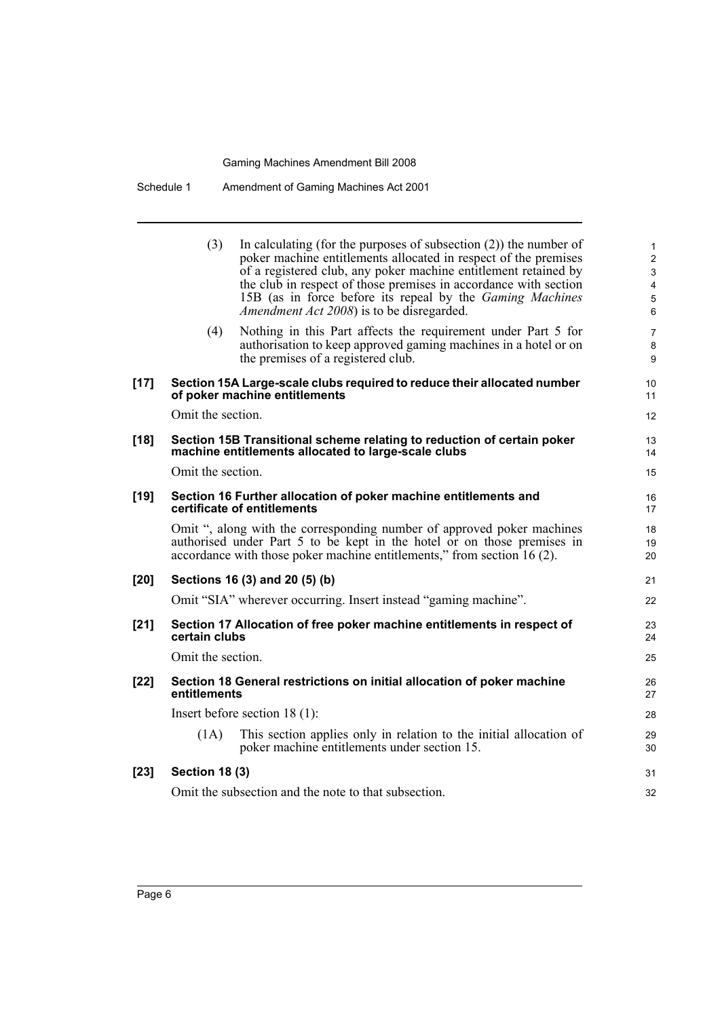| Schedule 1 | Amendment of Gaming Machines Act 2001 |
|------------|---------------------------------------|
|------------|---------------------------------------|

|        | (3)                   | In calculating (for the purposes of subsection $(2)$ ) the number of<br>poker machine entitlements allocated in respect of the premises<br>of a registered club, any poker machine entitlement retained by<br>the club in respect of those premises in accordance with section<br>15B (as in force before its repeal by the <i>Gaming Machines</i><br><i>Amendment Act 2008</i> ) is to be disregarded. | 1<br>$\overline{c}$<br>3<br>4<br>5<br>6 |
|--------|-----------------------|---------------------------------------------------------------------------------------------------------------------------------------------------------------------------------------------------------------------------------------------------------------------------------------------------------------------------------------------------------------------------------------------------------|-----------------------------------------|
|        | (4)                   | Nothing in this Part affects the requirement under Part 5 for<br>authorisation to keep approved gaming machines in a hotel or on<br>the premises of a registered club.                                                                                                                                                                                                                                  | 7<br>8<br>9                             |
| $[17]$ |                       | Section 15A Large-scale clubs required to reduce their allocated number<br>of poker machine entitlements                                                                                                                                                                                                                                                                                                | 10<br>11                                |
|        | Omit the section.     |                                                                                                                                                                                                                                                                                                                                                                                                         | 12                                      |
| $[18]$ |                       | Section 15B Transitional scheme relating to reduction of certain poker<br>machine entitlements allocated to large-scale clubs                                                                                                                                                                                                                                                                           | 13<br>14                                |
|        | Omit the section.     |                                                                                                                                                                                                                                                                                                                                                                                                         | 15                                      |
| $[19]$ |                       | Section 16 Further allocation of poker machine entitlements and<br>certificate of entitlements                                                                                                                                                                                                                                                                                                          | 16<br>17                                |
|        |                       | Omit ", along with the corresponding number of approved poker machines<br>authorised under Part 5 to be kept in the hotel or on those premises in<br>accordance with those poker machine entitlements," from section 16 (2).                                                                                                                                                                            | 18<br>19<br>20                          |
| $[20]$ |                       | Sections 16 (3) and 20 (5) (b)                                                                                                                                                                                                                                                                                                                                                                          | 21                                      |
|        |                       | Omit "SIA" wherever occurring. Insert instead "gaming machine".                                                                                                                                                                                                                                                                                                                                         | 22                                      |
| $[21]$ | certain clubs         | Section 17 Allocation of free poker machine entitlements in respect of                                                                                                                                                                                                                                                                                                                                  | 23<br>24                                |
|        | Omit the section.     |                                                                                                                                                                                                                                                                                                                                                                                                         | 25                                      |
| $[22]$ | entitlements          | Section 18 General restrictions on initial allocation of poker machine                                                                                                                                                                                                                                                                                                                                  | 26<br>27                                |
|        |                       | Insert before section $18(1)$ :                                                                                                                                                                                                                                                                                                                                                                         | 28                                      |
|        | (1A)                  | This section applies only in relation to the initial allocation of<br>poker machine entitlements under section 15.                                                                                                                                                                                                                                                                                      | 29<br>30                                |
| $[23]$ | <b>Section 18 (3)</b> |                                                                                                                                                                                                                                                                                                                                                                                                         | 31                                      |
|        |                       | Omit the subsection and the note to that subsection.                                                                                                                                                                                                                                                                                                                                                    | 32                                      |
|        |                       |                                                                                                                                                                                                                                                                                                                                                                                                         |                                         |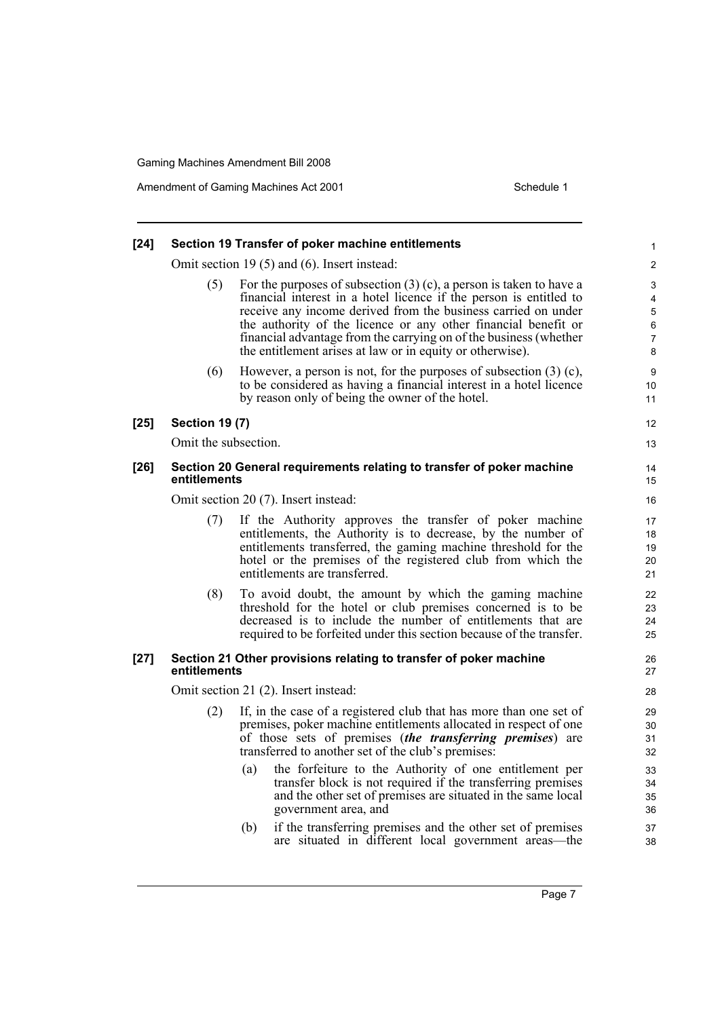Amendment of Gaming Machines Act 2001 Schedule 1

| $[24]$ | Section 19 Transfer of poker machine entitlements                                     |                                                                                                                                                                                                                                                                                                                                                                                                                                                                                                                                                                                                                    |                                                          |  |  |  |
|--------|---------------------------------------------------------------------------------------|--------------------------------------------------------------------------------------------------------------------------------------------------------------------------------------------------------------------------------------------------------------------------------------------------------------------------------------------------------------------------------------------------------------------------------------------------------------------------------------------------------------------------------------------------------------------------------------------------------------------|----------------------------------------------------------|--|--|--|
|        |                                                                                       | Omit section 19 $(5)$ and $(6)$ . Insert instead:                                                                                                                                                                                                                                                                                                                                                                                                                                                                                                                                                                  | 2                                                        |  |  |  |
|        | (5)                                                                                   | For the purposes of subsection $(3)$ (c), a person is taken to have a<br>financial interest in a hotel licence if the person is entitled to<br>receive any income derived from the business carried on under<br>the authority of the licence or any other financial benefit or<br>financial advantage from the carrying on of the business (whether<br>the entitlement arises at law or in equity or otherwise).                                                                                                                                                                                                   | 3<br>4<br>5<br>6<br>$\overline{7}$<br>8                  |  |  |  |
|        | (6)                                                                                   | However, a person is not, for the purposes of subsection $(3)$ (c),<br>to be considered as having a financial interest in a hotel licence<br>by reason only of being the owner of the hotel.                                                                                                                                                                                                                                                                                                                                                                                                                       | 9<br>10<br>11                                            |  |  |  |
| $[25]$ | <b>Section 19 (7)</b>                                                                 |                                                                                                                                                                                                                                                                                                                                                                                                                                                                                                                                                                                                                    | 12                                                       |  |  |  |
|        | Omit the subsection.                                                                  |                                                                                                                                                                                                                                                                                                                                                                                                                                                                                                                                                                                                                    | 13                                                       |  |  |  |
| $[26]$ | Section 20 General requirements relating to transfer of poker machine<br>entitlements |                                                                                                                                                                                                                                                                                                                                                                                                                                                                                                                                                                                                                    | 14<br>15                                                 |  |  |  |
|        |                                                                                       | Omit section 20 (7). Insert instead:                                                                                                                                                                                                                                                                                                                                                                                                                                                                                                                                                                               | 16                                                       |  |  |  |
|        | (7)                                                                                   | If the Authority approves the transfer of poker machine<br>entitlements, the Authority is to decrease, by the number of<br>entitlements transferred, the gaming machine threshold for the<br>hotel or the premises of the registered club from which the<br>entitlements are transferred.                                                                                                                                                                                                                                                                                                                          | 17<br>18<br>19<br>20<br>21                               |  |  |  |
|        | (8)                                                                                   | To avoid doubt, the amount by which the gaming machine<br>threshold for the hotel or club premises concerned is to be<br>decreased is to include the number of entitlements that are<br>required to be forfeited under this section because of the transfer.                                                                                                                                                                                                                                                                                                                                                       | 22<br>23<br>24<br>25                                     |  |  |  |
| $[27]$ | entitlements                                                                          | Section 21 Other provisions relating to transfer of poker machine                                                                                                                                                                                                                                                                                                                                                                                                                                                                                                                                                  | 26<br>27                                                 |  |  |  |
|        | Omit section 21 (2). Insert instead:                                                  |                                                                                                                                                                                                                                                                                                                                                                                                                                                                                                                                                                                                                    |                                                          |  |  |  |
|        | (2)                                                                                   | If, in the case of a registered club that has more than one set of<br>premises, poker machine entitlements allocated in respect of one<br>of those sets of premises <i>(the transferring premises)</i> are<br>transferred to another set of the club's premises:<br>(a) the forfeiture to the Authority of one entitlement per<br>transfer block is not required if the transferring premises<br>and the other set of premises are situated in the same local<br>government area, and<br>if the transferring premises and the other set of premises<br>(b)<br>are situated in different local government areas—the | 29<br>30<br>31<br>32<br>33<br>34<br>35<br>36<br>37<br>38 |  |  |  |
|        |                                                                                       |                                                                                                                                                                                                                                                                                                                                                                                                                                                                                                                                                                                                                    |                                                          |  |  |  |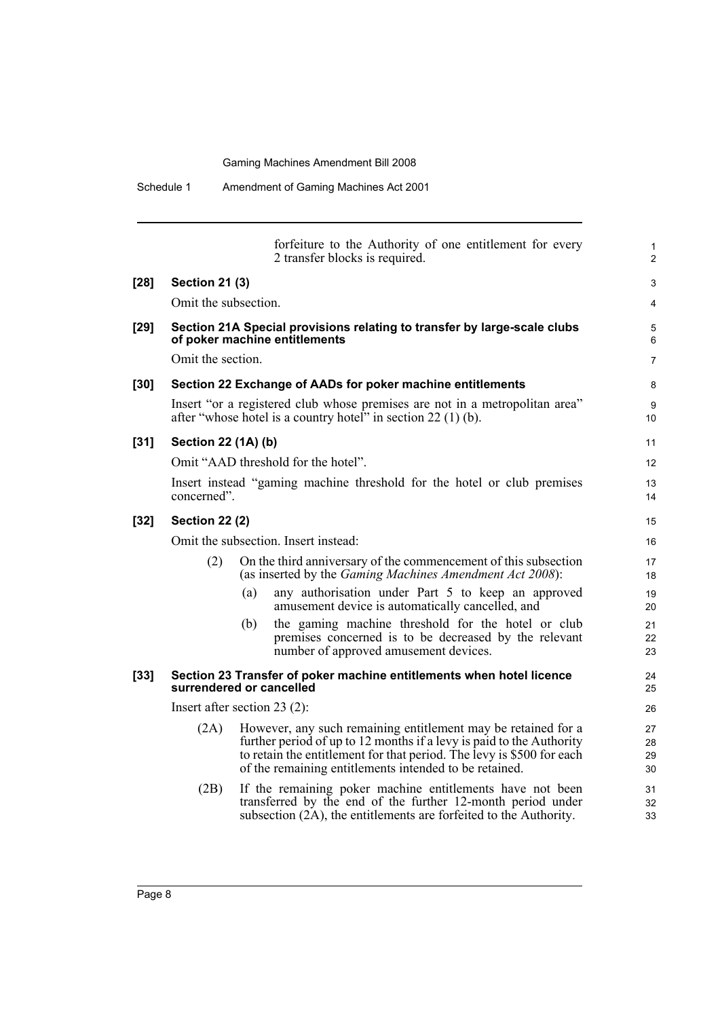|        |                                                                                                                                | forfeiture to the Authority of one entitlement for every<br>2 transfer blocks is required.                                                                                                                                                                               | $\mathbf{1}$<br>2    |  |  |  |  |
|--------|--------------------------------------------------------------------------------------------------------------------------------|--------------------------------------------------------------------------------------------------------------------------------------------------------------------------------------------------------------------------------------------------------------------------|----------------------|--|--|--|--|
| [28]   | <b>Section 21 (3)</b>                                                                                                          |                                                                                                                                                                                                                                                                          | 3                    |  |  |  |  |
|        | Omit the subsection.                                                                                                           |                                                                                                                                                                                                                                                                          | $\overline{4}$       |  |  |  |  |
| [29]   | Section 21A Special provisions relating to transfer by large-scale clubs<br>of poker machine entitlements<br>Omit the section. |                                                                                                                                                                                                                                                                          |                      |  |  |  |  |
| [30]   |                                                                                                                                | Section 22 Exchange of AADs for poker machine entitlements                                                                                                                                                                                                               | 8                    |  |  |  |  |
|        |                                                                                                                                | Insert "or a registered club whose premises are not in a metropolitan area"<br>after "whose hotel is a country hotel" in section 22 (1) (b).                                                                                                                             | 9<br>10              |  |  |  |  |
| [31]   | <b>Section 22 (1A) (b)</b>                                                                                                     |                                                                                                                                                                                                                                                                          | 11                   |  |  |  |  |
|        |                                                                                                                                | Omit "AAD threshold for the hotel".                                                                                                                                                                                                                                      | 12                   |  |  |  |  |
|        | concerned".                                                                                                                    | Insert instead "gaming machine threshold for the hotel or club premises                                                                                                                                                                                                  | 13<br>14             |  |  |  |  |
| [32]   | <b>Section 22 (2)</b>                                                                                                          |                                                                                                                                                                                                                                                                          |                      |  |  |  |  |
|        |                                                                                                                                | Omit the subsection. Insert instead:                                                                                                                                                                                                                                     | 16                   |  |  |  |  |
|        | (2)                                                                                                                            | On the third anniversary of the commencement of this subsection<br>(as inserted by the <i>Gaming Machines Amendment Act 2008</i> ):                                                                                                                                      | 17<br>18             |  |  |  |  |
|        |                                                                                                                                | any authorisation under Part 5 to keep an approved<br>(a)<br>amusement device is automatically cancelled, and                                                                                                                                                            | 19<br>20             |  |  |  |  |
|        |                                                                                                                                | the gaming machine threshold for the hotel or club<br>(b)<br>premises concerned is to be decreased by the relevant<br>number of approved amusement devices.                                                                                                              | 21<br>22<br>23       |  |  |  |  |
| $[33]$ |                                                                                                                                | Section 23 Transfer of poker machine entitlements when hotel licence<br>surrendered or cancelled                                                                                                                                                                         | 24<br>25             |  |  |  |  |
|        |                                                                                                                                | Insert after section $23(2)$ :                                                                                                                                                                                                                                           | 26                   |  |  |  |  |
|        | (2A)                                                                                                                           | However, any such remaining entitlement may be retained for a<br>further period of up to 12 months if a levy is paid to the Authority<br>to retain the entitlement for that period. The levy is \$500 for each<br>of the remaining entitlements intended to be retained. | 27<br>28<br>29<br>30 |  |  |  |  |
|        | (2B)                                                                                                                           | If the remaining poker machine entitlements have not been<br>transferred by the end of the further 12-month period under<br>subsection (2A), the entitlements are forfeited to the Authority.                                                                            | 31<br>32<br>33       |  |  |  |  |
|        |                                                                                                                                |                                                                                                                                                                                                                                                                          |                      |  |  |  |  |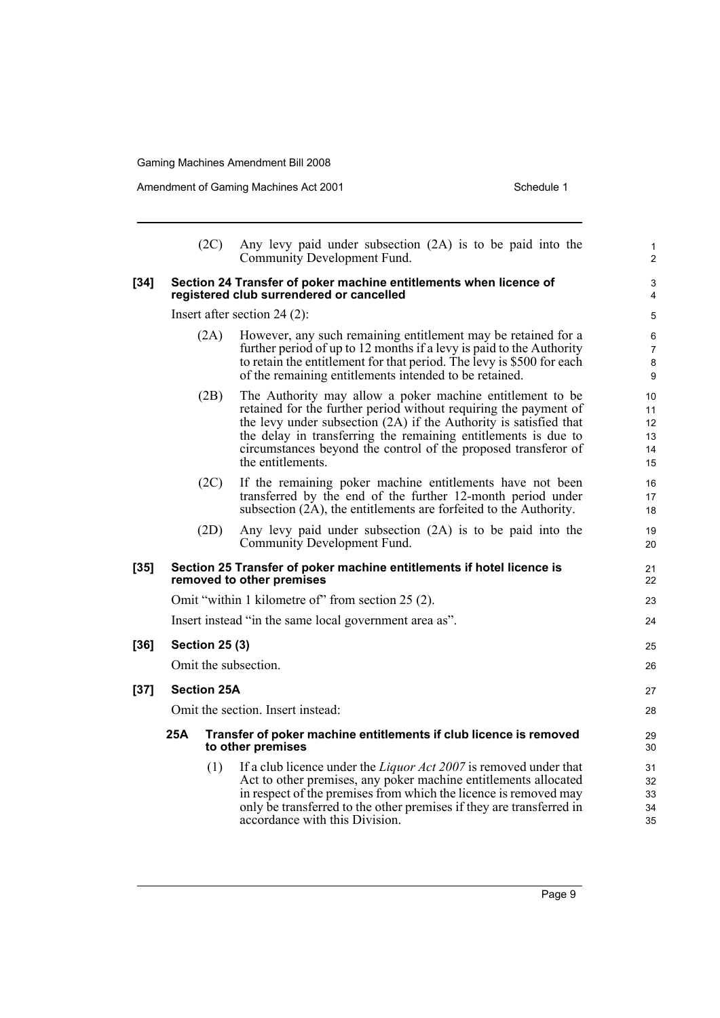|        |     | (2C)                  | Any levy paid under subsection (2A) is to be paid into the<br>Community Development Fund.                                                                                                                                                                                                                                                                   | 1<br>$\overline{2}$              |
|--------|-----|-----------------------|-------------------------------------------------------------------------------------------------------------------------------------------------------------------------------------------------------------------------------------------------------------------------------------------------------------------------------------------------------------|----------------------------------|
| $[34]$ |     |                       | Section 24 Transfer of poker machine entitlements when licence of<br>registered club surrendered or cancelled                                                                                                                                                                                                                                               | 3<br>$\overline{4}$              |
|        |     |                       | Insert after section $24(2)$ :                                                                                                                                                                                                                                                                                                                              | 5                                |
|        |     | (2A)                  | However, any such remaining entitlement may be retained for a<br>further period of up to 12 months if a levy is paid to the Authority<br>to retain the entitlement for that period. The levy is \$500 for each<br>of the remaining entitlements intended to be retained.                                                                                    | 6<br>$\overline{7}$<br>8<br>9    |
|        |     | (2B)                  | The Authority may allow a poker machine entitlement to be<br>retained for the further period without requiring the payment of<br>the levy under subsection (2A) if the Authority is satisfied that<br>the delay in transferring the remaining entitlements is due to<br>circumstances beyond the control of the proposed transferor of<br>the entitlements. | 10<br>11<br>12<br>13<br>14<br>15 |
|        |     | (2C)                  | If the remaining poker machine entitlements have not been<br>transferred by the end of the further 12-month period under<br>subsection (2A), the entitlements are forfeited to the Authority.                                                                                                                                                               | 16<br>17<br>18                   |
|        |     | (2D)                  | Any levy paid under subsection (2A) is to be paid into the<br>Community Development Fund.                                                                                                                                                                                                                                                                   | 19<br>20                         |
| [35]   |     |                       | Section 25 Transfer of poker machine entitlements if hotel licence is<br>removed to other premises                                                                                                                                                                                                                                                          | 21<br>22                         |
|        |     |                       | Omit "within 1 kilometre of" from section 25 (2).                                                                                                                                                                                                                                                                                                           | 23                               |
|        |     |                       | Insert instead "in the same local government area as".                                                                                                                                                                                                                                                                                                      | 24                               |
| [36]   |     | <b>Section 25 (3)</b> |                                                                                                                                                                                                                                                                                                                                                             | 25                               |
|        |     |                       | Omit the subsection.                                                                                                                                                                                                                                                                                                                                        | 26                               |
| [37]   |     | <b>Section 25A</b>    |                                                                                                                                                                                                                                                                                                                                                             | 27                               |
|        |     |                       | Omit the section. Insert instead:                                                                                                                                                                                                                                                                                                                           | 28                               |
|        | 25A |                       | Transfer of poker machine entitlements if club licence is removed<br>to other premises                                                                                                                                                                                                                                                                      | 29<br>30                         |
|        |     | (1)                   | If a club licence under the <i>Liquor Act 2007</i> is removed under that<br>Act to other premises, any poker machine entitlements allocated<br>in respect of the premises from which the licence is removed may<br>only be transferred to the other premises if they are transferred in<br>accordance with this Division.                                   | 31<br>32<br>33<br>34<br>35       |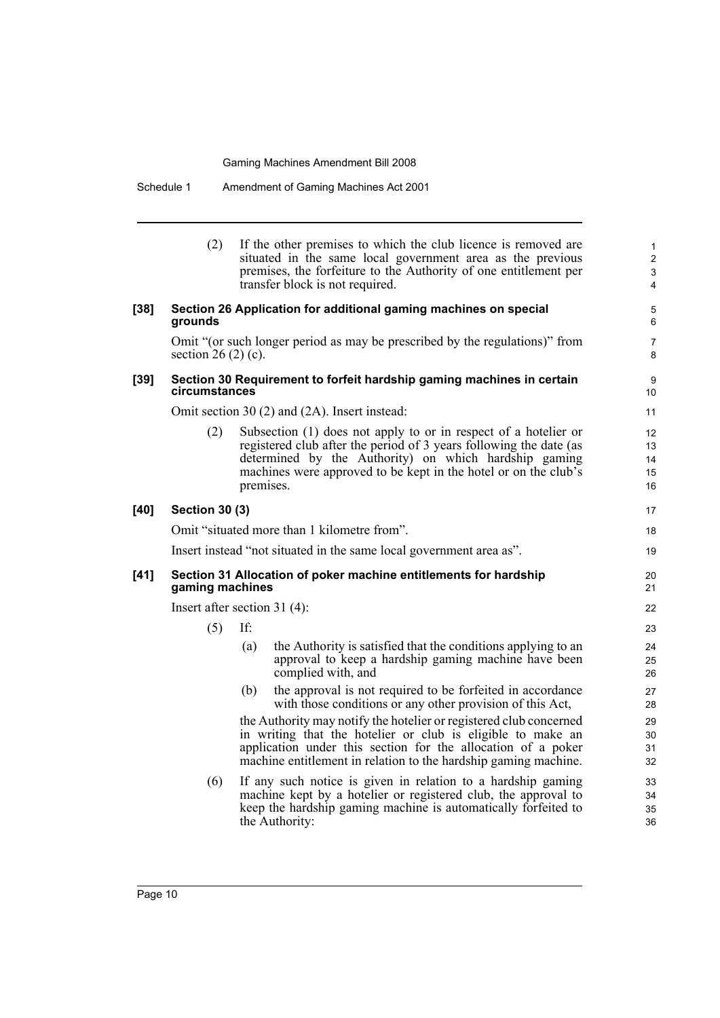Schedule 1 Amendment of Gaming Machines Act 2001

|        | (2)                   | If the other premises to which the club licence is removed are<br>situated in the same local government area as the previous<br>premises, the forfeiture to the Authority of one entitlement per<br>transfer block is not required.                                            | $\mathbf{1}$<br>$\overline{2}$<br>$\ensuremath{\mathsf{3}}$<br>4 |
|--------|-----------------------|--------------------------------------------------------------------------------------------------------------------------------------------------------------------------------------------------------------------------------------------------------------------------------|------------------------------------------------------------------|
| $[38]$ | grounds               | Section 26 Application for additional gaming machines on special                                                                                                                                                                                                               | 5<br>6                                                           |
|        | section $26(2)(c)$ .  | Omit "(or such longer period as may be prescribed by the regulations)" from                                                                                                                                                                                                    | 7<br>8                                                           |
| $[39]$ | circumstances         | Section 30 Requirement to forfeit hardship gaming machines in certain                                                                                                                                                                                                          | 9<br>10                                                          |
|        |                       | Omit section 30 (2) and (2A). Insert instead:                                                                                                                                                                                                                                  | 11                                                               |
|        | (2)                   | Subsection (1) does not apply to or in respect of a hotelier or<br>registered club after the period of 3 years following the date (as<br>determined by the Authority) on which hardship gaming<br>machines were approved to be kept in the hotel or on the club's<br>premises. | 12<br>13<br>14<br>15<br>16                                       |
| $[40]$ | <b>Section 30 (3)</b> |                                                                                                                                                                                                                                                                                | 17                                                               |
|        |                       | Omit "situated more than 1 kilometre from".                                                                                                                                                                                                                                    | 18                                                               |
|        |                       | Insert instead "not situated in the same local government area as".                                                                                                                                                                                                            | 19                                                               |
| $[41]$ | gaming machines       | Section 31 Allocation of poker machine entitlements for hardship                                                                                                                                                                                                               | 20<br>21                                                         |
|        |                       | Insert after section $31(4)$ :                                                                                                                                                                                                                                                 | 22                                                               |
|        | (5)                   | If:                                                                                                                                                                                                                                                                            | 23                                                               |
|        |                       | the Authority is satisfied that the conditions applying to an<br>(a)<br>approval to keep a hardship gaming machine have been<br>complied with, and                                                                                                                             | 24<br>25<br>26                                                   |
|        |                       | the approval is not required to be forfeited in accordance<br>(b)<br>with those conditions or any other provision of this Act,                                                                                                                                                 | 27<br>28                                                         |
|        |                       | the Authority may notify the hotelier or registered club concerned<br>in writing that the hotelier or club is eligible to make an<br>application under this section for the allocation of a poker<br>machine entitlement in relation to the hardship gaming machine.           | 29<br>30<br>31<br>32                                             |
|        | (6)                   | If any such notice is given in relation to a hardship gaming<br>machine kept by a hotelier or registered club, the approval to<br>keep the hardship gaming machine is automatically forfeited to<br>the Authority:                                                             | 33<br>34<br>35<br>36                                             |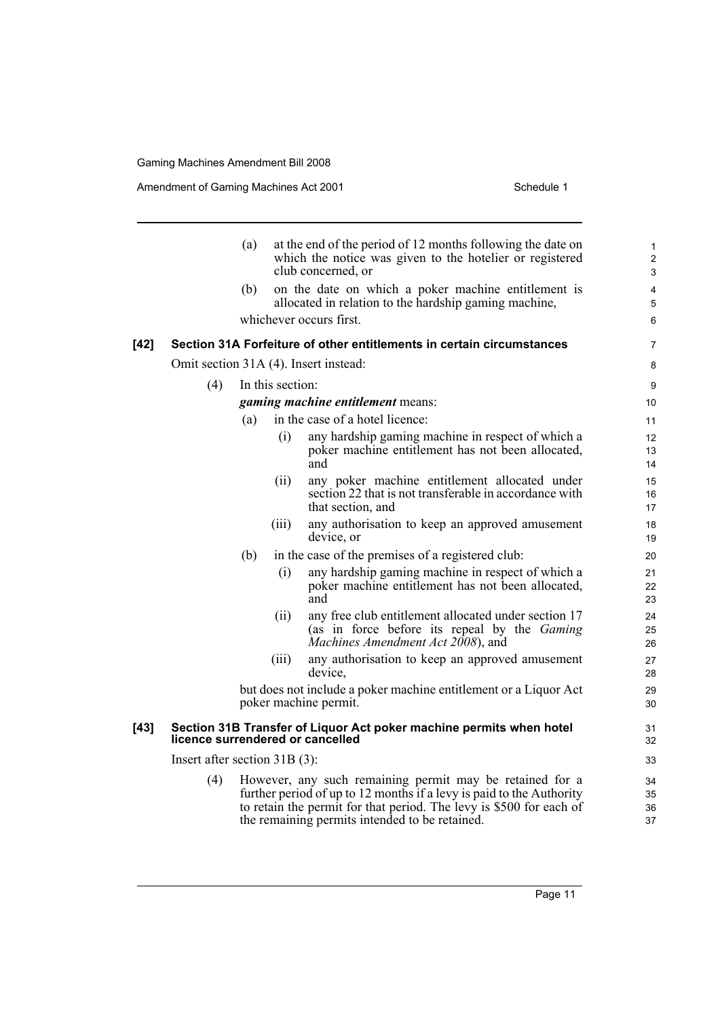Amendment of Gaming Machines Act 2001 Schedule 1

|        |                                  | (a)              |       | at the end of the period of 12 months following the date on<br>which the notice was given to the hotelier or registered<br>club concerned, or                                                                                                             | $\mathbf{1}$<br>$\boldsymbol{2}$<br>3 |
|--------|----------------------------------|------------------|-------|-----------------------------------------------------------------------------------------------------------------------------------------------------------------------------------------------------------------------------------------------------------|---------------------------------------|
|        |                                  | (b)              |       | on the date on which a poker machine entitlement is<br>allocated in relation to the hardship gaming machine,                                                                                                                                              | 4<br>5                                |
|        |                                  |                  |       | whichever occurs first.                                                                                                                                                                                                                                   | 6                                     |
| [42]   |                                  |                  |       | Section 31A Forfeiture of other entitlements in certain circumstances                                                                                                                                                                                     | $\overline{7}$                        |
|        |                                  |                  |       | Omit section 31A (4). Insert instead:                                                                                                                                                                                                                     | 8                                     |
|        | (4)                              | In this section: |       |                                                                                                                                                                                                                                                           | 9                                     |
|        |                                  |                  |       | gaming machine entitlement means:                                                                                                                                                                                                                         | 10                                    |
|        |                                  | (a)              |       | in the case of a hotel licence:                                                                                                                                                                                                                           | 11                                    |
|        |                                  |                  | (i)   | any hardship gaming machine in respect of which a<br>poker machine entitlement has not been allocated,<br>and                                                                                                                                             | 12<br>13<br>14                        |
|        |                                  |                  | (ii)  | any poker machine entitlement allocated under<br>section 22 that is not transferable in accordance with<br>that section, and                                                                                                                              | 15<br>16<br>17                        |
|        |                                  |                  | (iii) | any authorisation to keep an approved amusement<br>device, or                                                                                                                                                                                             | 18<br>19                              |
|        |                                  | (b)              |       | in the case of the premises of a registered club:                                                                                                                                                                                                         | 20                                    |
|        |                                  |                  | (i)   | any hardship gaming machine in respect of which a<br>poker machine entitlement has not been allocated,<br>and                                                                                                                                             | 21<br>22<br>23                        |
|        |                                  |                  | (ii)  | any free club entitlement allocated under section 17<br>(as in force before its repeal by the Gaming<br>Machines Amendment Act 2008), and                                                                                                                 | 24<br>25<br>26                        |
|        |                                  |                  | (iii) | any authorisation to keep an approved amusement<br>device.                                                                                                                                                                                                | 27<br>28                              |
|        |                                  |                  |       | but does not include a poker machine entitlement or a Liquor Act<br>poker machine permit.                                                                                                                                                                 | 29<br>30                              |
| $[43]$ | licence surrendered or cancelled |                  |       | Section 31B Transfer of Liquor Act poker machine permits when hotel                                                                                                                                                                                       | 31<br>32                              |
|        | Insert after section $31B(3)$ :  |                  |       |                                                                                                                                                                                                                                                           | 33                                    |
|        | (4)                              |                  |       | However, any such remaining permit may be retained for a<br>further period of up to 12 months if a levy is paid to the Authority<br>to retain the permit for that period. The levy is \$500 for each of<br>the remaining permits intended to be retained. | 34<br>35<br>36<br>37                  |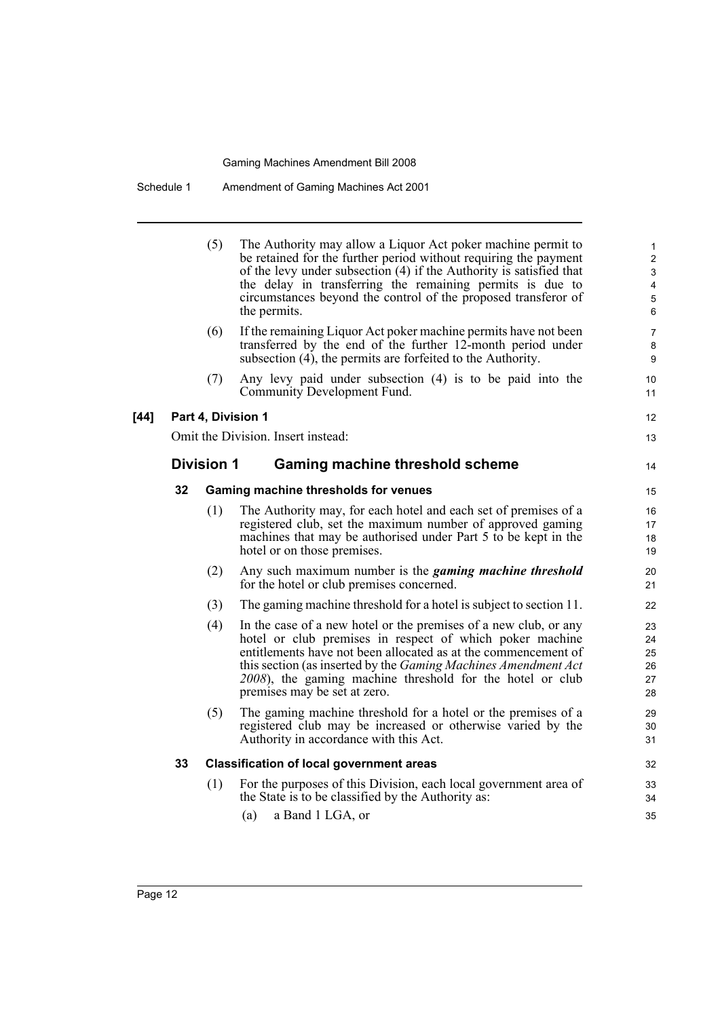|        |    | (5)               | The Authority may allow a Liquor Act poker machine permit to<br>be retained for the further period without requiring the payment<br>of the levy under subsection (4) if the Authority is satisfied that<br>the delay in transferring the remaining permits is due to<br>circumstances beyond the control of the proposed transferor of<br>the permits.        | 1<br>$\overline{c}$<br>3<br>4<br>5<br>6 |
|--------|----|-------------------|---------------------------------------------------------------------------------------------------------------------------------------------------------------------------------------------------------------------------------------------------------------------------------------------------------------------------------------------------------------|-----------------------------------------|
|        |    | (6)               | If the remaining Liquor Act poker machine permits have not been<br>transferred by the end of the further 12-month period under<br>subsection (4), the permits are forfeited to the Authority.                                                                                                                                                                 | 7<br>8<br>9                             |
|        |    | (7)               | Any levy paid under subsection (4) is to be paid into the<br>Community Development Fund.                                                                                                                                                                                                                                                                      | 10<br>11                                |
| $[44]$ |    |                   | Part 4, Division 1                                                                                                                                                                                                                                                                                                                                            | 12                                      |
|        |    |                   | Omit the Division. Insert instead:                                                                                                                                                                                                                                                                                                                            | 13                                      |
|        |    | <b>Division 1</b> | Gaming machine threshold scheme                                                                                                                                                                                                                                                                                                                               | 14                                      |
|        | 32 |                   | Gaming machine thresholds for venues                                                                                                                                                                                                                                                                                                                          | 15                                      |
|        |    | (1)               | The Authority may, for each hotel and each set of premises of a<br>registered club, set the maximum number of approved gaming<br>machines that may be authorised under Part 5 to be kept in the<br>hotel or on those premises.                                                                                                                                | 16<br>17<br>18<br>19                    |
|        |    | (2)               | Any such maximum number is the <i>gaming machine threshold</i><br>for the hotel or club premises concerned.                                                                                                                                                                                                                                                   | 20<br>21                                |
|        |    | (3)               | The gaming machine threshold for a hotel is subject to section 11.                                                                                                                                                                                                                                                                                            | 22                                      |
|        |    | (4)               | In the case of a new hotel or the premises of a new club, or any<br>hotel or club premises in respect of which poker machine<br>entitlements have not been allocated as at the commencement of<br>this section (as inserted by the Gaming Machines Amendment Act<br>2008), the gaming machine threshold for the hotel or club<br>premises may be set at zero. | 23<br>24<br>25<br>26<br>27<br>28        |
|        |    | (5)               | The gaming machine threshold for a hotel or the premises of a<br>registered club may be increased or otherwise varied by the<br>Authority in accordance with this Act.                                                                                                                                                                                        | 29<br>30<br>31                          |
|        | 33 |                   | <b>Classification of local government areas</b>                                                                                                                                                                                                                                                                                                               | 32                                      |
|        |    | (1)               | For the purposes of this Division, each local government area of<br>the State is to be classified by the Authority as:<br>a Band 1 LGA, or<br>(a)                                                                                                                                                                                                             | 33<br>34<br>35                          |
|        |    |                   |                                                                                                                                                                                                                                                                                                                                                               |                                         |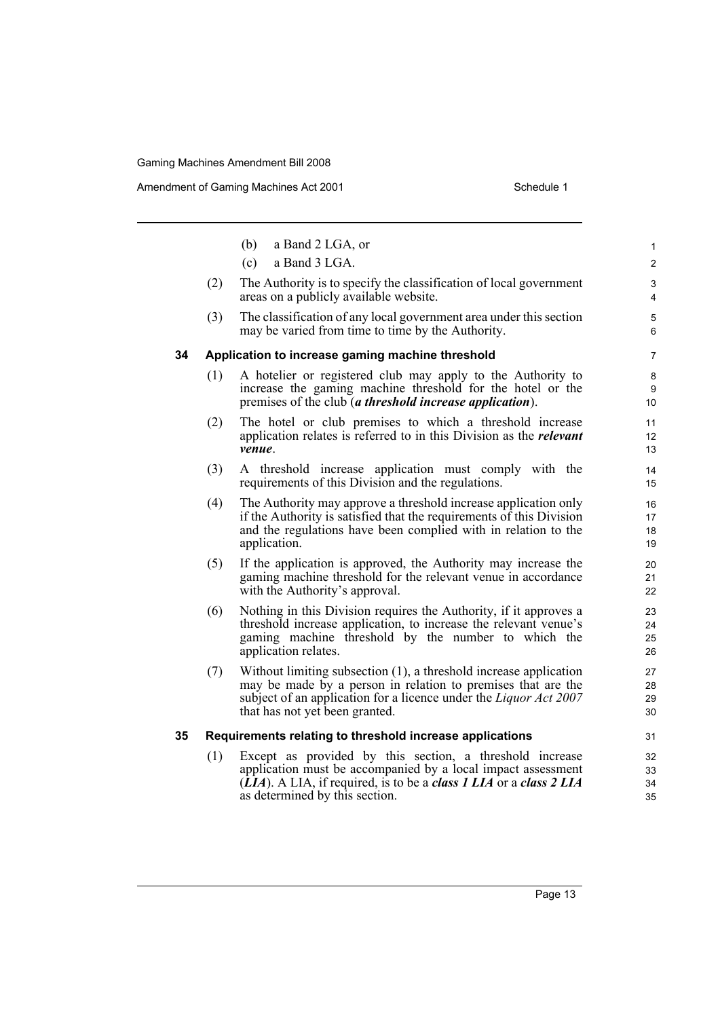Amendment of Gaming Machines Act 2001 Schedule 1

|    |     | (b)<br>a Band 2 LGA, or                                                                                                                                                                                                                                      | $\mathbf{1}$                |
|----|-----|--------------------------------------------------------------------------------------------------------------------------------------------------------------------------------------------------------------------------------------------------------------|-----------------------------|
|    |     | (c)<br>a Band 3 LGA.                                                                                                                                                                                                                                         | $\mathbf{2}$                |
|    | (2) | The Authority is to specify the classification of local government<br>areas on a publicly available website.                                                                                                                                                 | 3<br>$\overline{4}$         |
|    | (3) | The classification of any local government area under this section<br>may be varied from time to time by the Authority.                                                                                                                                      | 5<br>6                      |
| 34 |     | Application to increase gaming machine threshold                                                                                                                                                                                                             | $\overline{7}$              |
|    | (1) | A hotelier or registered club may apply to the Authority to<br>increase the gaming machine threshold for the hotel or the<br>premises of the club (a threshold increase application).                                                                        | 8<br>9<br>10 <sup>°</sup>   |
|    | (2) | The hotel or club premises to which a threshold increase<br>application relates is referred to in this Division as the <i>relevant</i><br>venue.                                                                                                             | 11<br>12 <sup>°</sup><br>13 |
|    | (3) | A threshold increase application must comply with the<br>requirements of this Division and the regulations.                                                                                                                                                  | 14<br>15                    |
|    | (4) | The Authority may approve a threshold increase application only<br>if the Authority is satisfied that the requirements of this Division<br>and the regulations have been complied with in relation to the<br>application.                                    | 16<br>17<br>18<br>19        |
|    | (5) | If the application is approved, the Authority may increase the<br>gaming machine threshold for the relevant venue in accordance<br>with the Authority's approval.                                                                                            | 20<br>21<br>22              |
|    | (6) | Nothing in this Division requires the Authority, if it approves a<br>threshold increase application, to increase the relevant venue's<br>gaming machine threshold by the number to which the<br>application relates.                                         | 23<br>24<br>25<br>26        |
|    | (7) | Without limiting subsection (1), a threshold increase application<br>may be made by a person in relation to premises that are the<br>subject of an application for a licence under the <i>Liquor Act 2007</i><br>that has not yet been granted.              | 27<br>28<br>29<br>30        |
| 35 |     | Requirements relating to threshold increase applications                                                                                                                                                                                                     | 31                          |
|    | (1) | Except as provided by this section, a threshold increase<br>application must be accompanied by a local impact assessment<br>$(\overline{LIA})$ . A LIA, if required, is to be a <i>class 1 LIA</i> or a <i>class 2 LIA</i><br>as determined by this section. | 32<br>33<br>34<br>35        |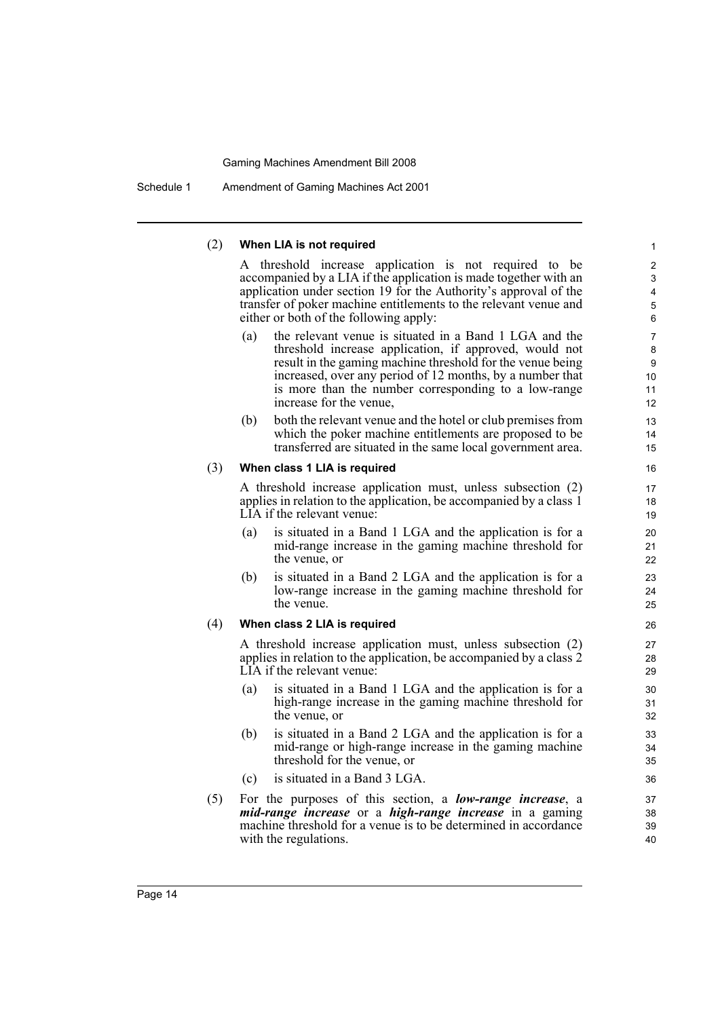Schedule 1 Amendment of Gaming Machines Act 2001

#### (2) **When LIA is not required**

A threshold increase application is not required to be accompanied by a LIA if the application is made together with an application under section 19 for the Authority's approval of the transfer of poker machine entitlements to the relevant venue and either or both of the following apply:

- (a) the relevant venue is situated in a Band 1 LGA and the threshold increase application, if approved, would not result in the gaming machine threshold for the venue being increased, over any period of 12 months, by a number that is more than the number corresponding to a low-range increase for the venue,
- (b) both the relevant venue and the hotel or club premises from which the poker machine entitlements are proposed to be transferred are situated in the same local government area.

#### (3) **When class 1 LIA is required**

A threshold increase application must, unless subsection (2) applies in relation to the application, be accompanied by a class 1 LIA if the relevant venue:

- (a) is situated in a Band 1 LGA and the application is for a mid-range increase in the gaming machine threshold for the venue, or
- (b) is situated in a Band 2 LGA and the application is for a low-range increase in the gaming machine threshold for the venue.

#### (4) **When class 2 LIA is required**

A threshold increase application must, unless subsection (2) applies in relation to the application, be accompanied by a class 2 LIA if the relevant venue:

- (a) is situated in a Band 1 LGA and the application is for a high-range increase in the gaming machine threshold for the venue, or
- (b) is situated in a Band 2 LGA and the application is for a mid-range or high-range increase in the gaming machine threshold for the venue, or
- (c) is situated in a Band 3 LGA.
- (5) For the purposes of this section, a *low-range increase*, a *mid-range increase* or a *high-range increase* in a gaming machine threshold for a venue is to be determined in accordance with the regulations.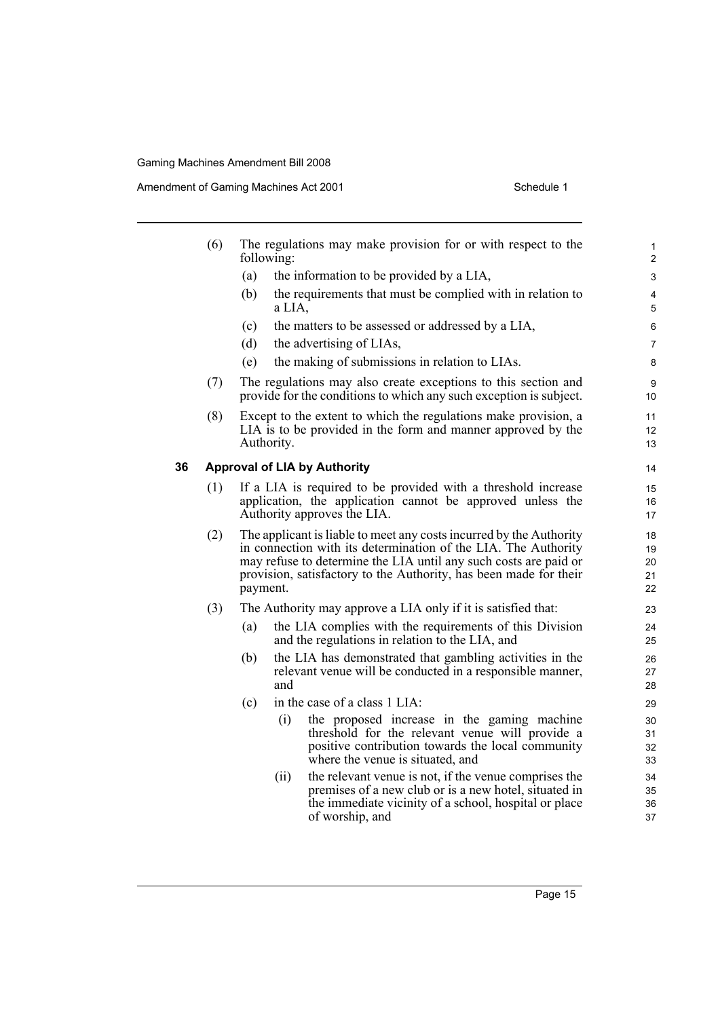Amendment of Gaming Machines Act 2001 Schedule 1

|    | (6) |          | following: | The regulations may make provision for or with respect to the                                                                                                                                                                                                                  | $\mathbf{1}$<br>2          |
|----|-----|----------|------------|--------------------------------------------------------------------------------------------------------------------------------------------------------------------------------------------------------------------------------------------------------------------------------|----------------------------|
|    |     | (a)      |            | the information to be provided by a LIA,                                                                                                                                                                                                                                       | 3                          |
|    |     | (b)      | a LIA,     | the requirements that must be complied with in relation to                                                                                                                                                                                                                     | 4<br>5                     |
|    |     | (c)      |            | the matters to be assessed or addressed by a LIA,                                                                                                                                                                                                                              | 6                          |
|    |     | (d)      |            | the advertising of LIAs,                                                                                                                                                                                                                                                       | $\overline{7}$             |
|    |     | (e)      |            | the making of submissions in relation to LIAs.                                                                                                                                                                                                                                 | 8                          |
|    | (7) |          |            | The regulations may also create exceptions to this section and<br>provide for the conditions to which any such exception is subject.                                                                                                                                           | 9<br>10                    |
|    | (8) |          | Authority. | Except to the extent to which the regulations make provision, a<br>LIA is to be provided in the form and manner approved by the                                                                                                                                                | 11<br>12<br>13             |
| 36 |     |          |            | <b>Approval of LIA by Authority</b>                                                                                                                                                                                                                                            | 14                         |
|    | (1) |          |            | If a LIA is required to be provided with a threshold increase<br>application, the application cannot be approved unless the<br>Authority approves the LIA.                                                                                                                     | 15<br>16<br>17             |
|    | (2) | payment. |            | The applicant is liable to meet any costs incurred by the Authority<br>in connection with its determination of the LIA. The Authority<br>may refuse to determine the LIA until any such costs are paid or<br>provision, satisfactory to the Authority, has been made for their | 18<br>19<br>20<br>21<br>22 |
|    | (3) |          |            | The Authority may approve a LIA only if it is satisfied that:                                                                                                                                                                                                                  | 23                         |
|    |     | (a)      |            | the LIA complies with the requirements of this Division<br>and the regulations in relation to the LIA, and                                                                                                                                                                     | 24<br>25                   |
|    |     | (b)      | and        | the LIA has demonstrated that gambling activities in the<br>relevant venue will be conducted in a responsible manner,                                                                                                                                                          | 26<br>27<br>28             |
|    |     | (c)      |            | in the case of a class 1 LIA:                                                                                                                                                                                                                                                  | 29                         |
|    |     |          | (i)        | the proposed increase in the gaming machine<br>threshold for the relevant venue will provide a<br>positive contribution towards the local community<br>where the venue is situated, and                                                                                        | 30<br>31<br>32<br>33       |
|    |     |          | (ii)       | the relevant venue is not, if the venue comprises the<br>premises of a new club or is a new hotel, situated in<br>the immediate vicinity of a school, hospital or place<br>of worship, and                                                                                     | 34<br>35<br>36<br>37       |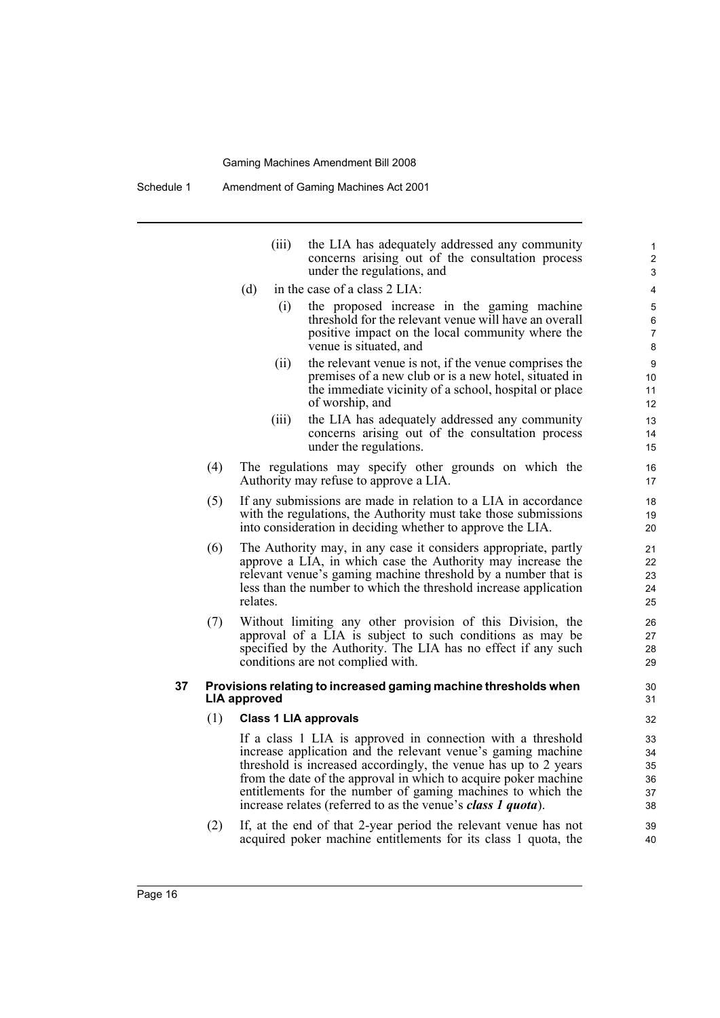|     | (111) | the LIA has adequately addressed any community<br>concerns arising out of the consultation process<br>under the regulations, and |
|-----|-------|----------------------------------------------------------------------------------------------------------------------------------|
| (d) |       | in the case of a class 2 LIA:                                                                                                    |
|     |       |                                                                                                                                  |

- (i) the proposed increase in the gaming machine threshold for the relevant venue will have an overall positive impact on the local community where the venue is situated, and
- (ii) the relevant venue is not, if the venue comprises the premises of a new club or is a new hotel, situated in the immediate vicinity of a school, hospital or place of worship, and
- (iii) the LIA has adequately addressed any community concerns arising out of the consultation process under the regulations.
- (4) The regulations may specify other grounds on which the Authority may refuse to approve a LIA.
- (5) If any submissions are made in relation to a LIA in accordance with the regulations, the Authority must take those submissions into consideration in deciding whether to approve the LIA.
- (6) The Authority may, in any case it considers appropriate, partly approve a LIA, in which case the Authority may increase the relevant venue's gaming machine threshold by a number that is less than the number to which the threshold increase application relates.
- (7) Without limiting any other provision of this Division, the approval of a LIA is subject to such conditions as may be specified by the Authority. The LIA has no effect if any such conditions are not complied with.

#### **37 Provisions relating to increased gaming machine thresholds when LIA approved**

#### (1) **Class 1 LIA approvals**

If a class 1 LIA is approved in connection with a threshold increase application and the relevant venue's gaming machine threshold is increased accordingly, the venue has up to 2 years from the date of the approval in which to acquire poker machine entitlements for the number of gaming machines to which the increase relates (referred to as the venue's *class 1 quota*).

(2) If, at the end of that 2-year period the relevant venue has not acquired poker machine entitlements for its class 1 quota, the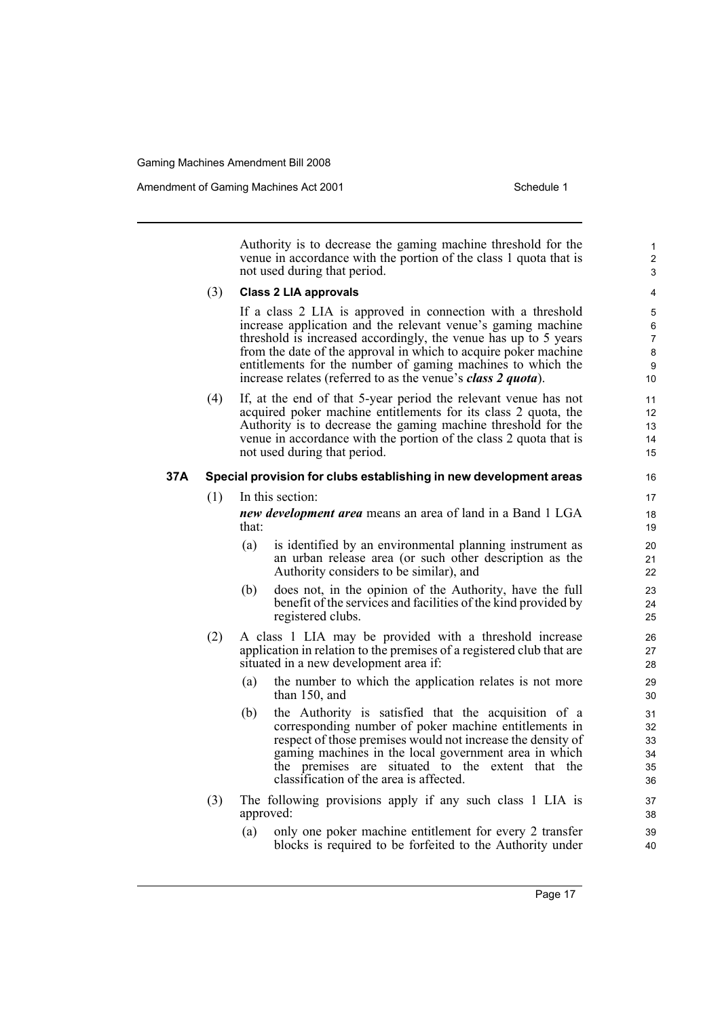Authority is to decrease the gaming machine threshold for the venue in accordance with the portion of the class 1 quota that is not used during that period. (3) **Class 2 LIA approvals** If a class 2 LIA is approved in connection with a threshold increase application and the relevant venue's gaming machine threshold is increased accordingly, the venue has up to 5 years from the date of the approval in which to acquire poker machine entitlements for the number of gaming machines to which the increase relates (referred to as the venue's *class 2 quota*). (4) If, at the end of that 5-year period the relevant venue has not acquired poker machine entitlements for its class 2 quota, the Authority is to decrease the gaming machine threshold for the venue in accordance with the portion of the class 2 quota that is not used during that period. **37A Special provision for clubs establishing in new development areas** (1) In this section: *new development area* means an area of land in a Band 1 LGA that: (a) is identified by an environmental planning instrument as an urban release area (or such other description as the Authority considers to be similar), and (b) does not, in the opinion of the Authority, have the full benefit of the services and facilities of the kind provided by registered clubs. (2) A class 1 LIA may be provided with a threshold increase application in relation to the premises of a registered club that are situated in a new development area if: (a) the number to which the application relates is not more than 150, and (b) the Authority is satisfied that the acquisition of a corresponding number of poker machine entitlements in respect of those premises would not increase the density of gaming machines in the local government area in which the premises are situated to the extent that the classification of the area is affected. (3) The following provisions apply if any such class 1 LIA is approved:

> (a) only one poker machine entitlement for every 2 transfer blocks is required to be forfeited to the Authority under

> > Page 17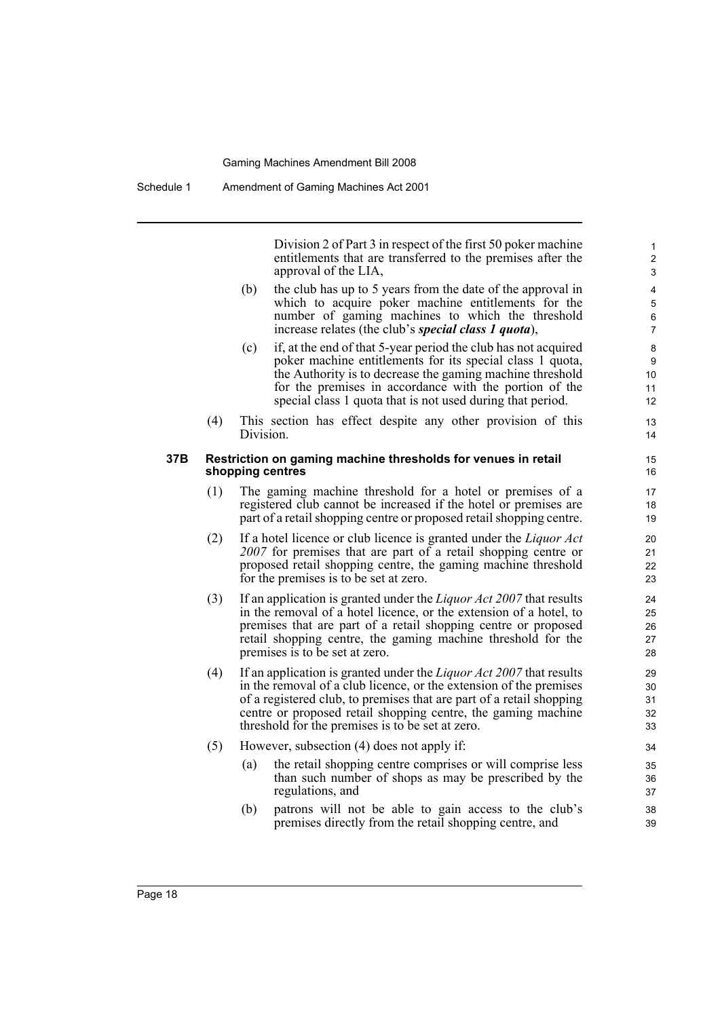Division 2 of Part 3 in respect of the first 50 poker machine entitlements that are transferred to the premises after the approval of the LIA,

- (b) the club has up to 5 years from the date of the approval in which to acquire poker machine entitlements for the number of gaming machines to which the threshold increase relates (the club's *special class 1 quota*),
- (c) if, at the end of that 5-year period the club has not acquired poker machine entitlements for its special class 1 quota, the Authority is to decrease the gaming machine threshold for the premises in accordance with the portion of the special class 1 quota that is not used during that period.
- (4) This section has effect despite any other provision of this Division.

#### **37B Restriction on gaming machine thresholds for venues in retail shopping centres**

- (1) The gaming machine threshold for a hotel or premises of a registered club cannot be increased if the hotel or premises are part of a retail shopping centre or proposed retail shopping centre.
- (2) If a hotel licence or club licence is granted under the *Liquor Act 2007* for premises that are part of a retail shopping centre or proposed retail shopping centre, the gaming machine threshold for the premises is to be set at zero.
- (3) If an application is granted under the *Liquor Act 2007* that results in the removal of a hotel licence, or the extension of a hotel, to premises that are part of a retail shopping centre or proposed retail shopping centre, the gaming machine threshold for the premises is to be set at zero.
- (4) If an application is granted under the *Liquor Act 2007* that results in the removal of a club licence, or the extension of the premises of a registered club, to premises that are part of a retail shopping centre or proposed retail shopping centre, the gaming machine threshold for the premises is to be set at zero.
- (5) However, subsection (4) does not apply if:
	- (a) the retail shopping centre comprises or will comprise less than such number of shops as may be prescribed by the regulations, and
	- (b) patrons will not be able to gain access to the club's premises directly from the retail shopping centre, and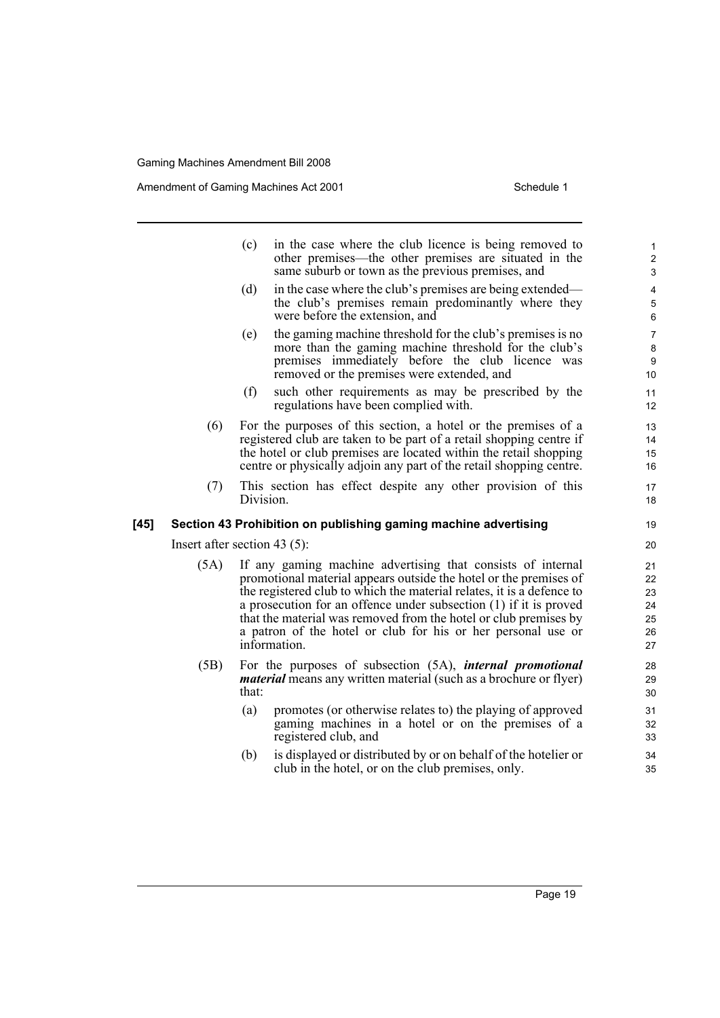Amendment of Gaming Machines Act 2001 and the Schedule 1 Schedule 1

|        |                                 | (c)       | in the case where the club licence is being removed to<br>other premises—the other premises are situated in the<br>same suburb or town as the previous premises, and                                                                                                                                                                                                                                                               |
|--------|---------------------------------|-----------|------------------------------------------------------------------------------------------------------------------------------------------------------------------------------------------------------------------------------------------------------------------------------------------------------------------------------------------------------------------------------------------------------------------------------------|
|        |                                 | (d)       | in the case where the club's premises are being extended—<br>the club's premises remain predominantly where they<br>were before the extension, and                                                                                                                                                                                                                                                                                 |
|        |                                 | (e)       | the gaming machine threshold for the club's premises is no<br>more than the gaming machine threshold for the club's<br>premises immediately before the club licence was<br>removed or the premises were extended, and                                                                                                                                                                                                              |
|        |                                 | (f)       | such other requirements as may be prescribed by the<br>regulations have been complied with.                                                                                                                                                                                                                                                                                                                                        |
|        | (6)                             |           | For the purposes of this section, a hotel or the premises of a<br>registered club are taken to be part of a retail shopping centre if<br>the hotel or club premises are located within the retail shopping<br>centre or physically adjoin any part of the retail shopping centre.                                                                                                                                                  |
|        | (7)                             | Division. | This section has effect despite any other provision of this                                                                                                                                                                                                                                                                                                                                                                        |
| $[45]$ |                                 |           | Section 43 Prohibition on publishing gaming machine advertising                                                                                                                                                                                                                                                                                                                                                                    |
|        | Insert after section 43 $(5)$ : |           |                                                                                                                                                                                                                                                                                                                                                                                                                                    |
|        | (5A)                            |           | If any gaming machine advertising that consists of internal<br>promotional material appears outside the hotel or the premises of<br>the registered club to which the material relates, it is a defence to<br>a prosecution for an offence under subsection (1) if it is proved<br>that the material was removed from the hotel or club premises by<br>a patron of the hotel or club for his or her personal use or<br>information. |
|        | (5B)                            | that:     | For the purposes of subsection (5A), <i>internal promotional</i><br><i>material</i> means any written material (such as a brochure or flyer)                                                                                                                                                                                                                                                                                       |
|        |                                 | (a)       | promotes (or otherwise relates to) the playing of approved                                                                                                                                                                                                                                                                                                                                                                         |

(a) promotes (or otherwise relates to) the playing of approved gaming machines in a hotel or on the premises of a

registered club, and

(b) is displayed or distributed by or on behalf of the hotelier or club in the hotel, or on the club premises, only.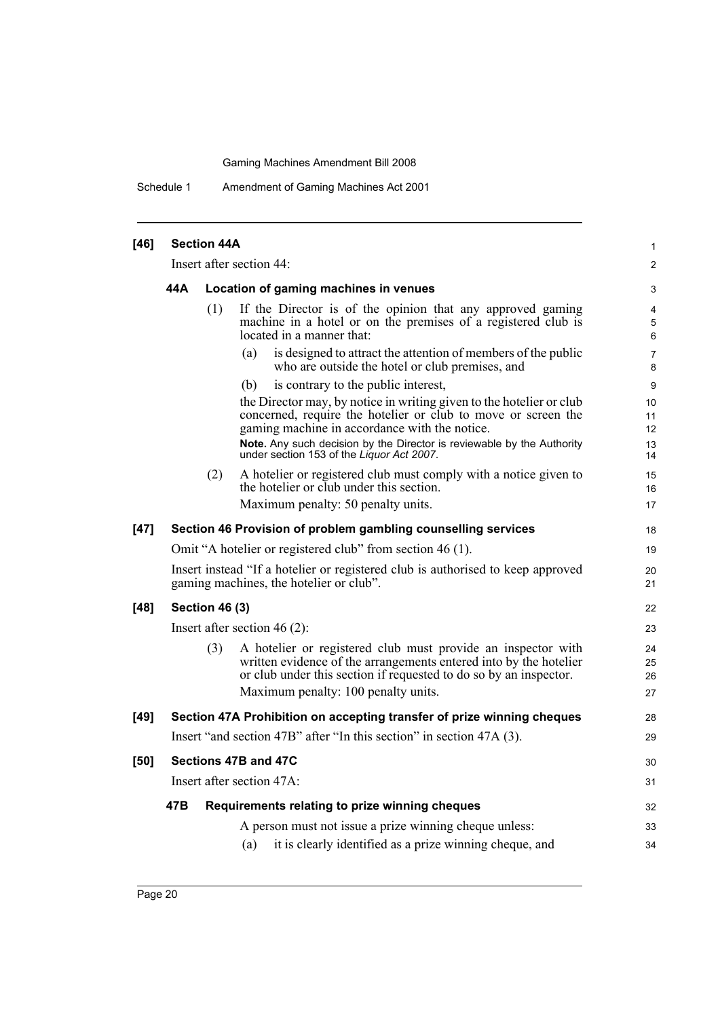Schedule 1 Amendment of Gaming Machines Act 2001

| $[46]$ | <b>Section 44A</b>       |                       |                                                                                                                                                                                                                                               |                      |  |  |
|--------|--------------------------|-----------------------|-----------------------------------------------------------------------------------------------------------------------------------------------------------------------------------------------------------------------------------------------|----------------------|--|--|
|        | Insert after section 44: |                       |                                                                                                                                                                                                                                               |                      |  |  |
|        | 44 A                     |                       | Location of gaming machines in venues                                                                                                                                                                                                         | 3                    |  |  |
|        |                          | (1)                   | If the Director is of the opinion that any approved gaming<br>machine in a hotel or on the premises of a registered club is<br>located in a manner that:                                                                                      | 4<br>5<br>6          |  |  |
|        |                          |                       | is designed to attract the attention of members of the public<br>(a)<br>who are outside the hotel or club premises, and                                                                                                                       | 7<br>8               |  |  |
|        |                          |                       | is contrary to the public interest,<br>(b)                                                                                                                                                                                                    | 9                    |  |  |
|        |                          |                       | the Director may, by notice in writing given to the hotelier or club<br>concerned, require the hotelier or club to move or screen the<br>gaming machine in accordance with the notice.                                                        | 10<br>11<br>12       |  |  |
|        |                          |                       | Note. Any such decision by the Director is reviewable by the Authority<br>under section 153 of the Liquor Act 2007.                                                                                                                           | 13<br>14             |  |  |
|        |                          | (2)                   | A hotelier or registered club must comply with a notice given to<br>the hotelier or club under this section.                                                                                                                                  | 15<br>16             |  |  |
|        |                          |                       | Maximum penalty: 50 penalty units.                                                                                                                                                                                                            | 17                   |  |  |
| $[47]$ |                          |                       | Section 46 Provision of problem gambling counselling services                                                                                                                                                                                 | 18                   |  |  |
|        |                          |                       | Omit "A hotelier or registered club" from section 46 (1).                                                                                                                                                                                     | 19                   |  |  |
|        |                          |                       | Insert instead "If a hotelier or registered club is authorised to keep approved<br>gaming machines, the hotelier or club".                                                                                                                    | 20<br>21             |  |  |
| $[48]$ |                          | <b>Section 46 (3)</b> |                                                                                                                                                                                                                                               | 22                   |  |  |
|        |                          |                       | Insert after section $46(2)$ :                                                                                                                                                                                                                | 23                   |  |  |
|        |                          | (3)                   | A hotelier or registered club must provide an inspector with<br>written evidence of the arrangements entered into by the hotelier<br>or club under this section if requested to do so by an inspector.<br>Maximum penalty: 100 penalty units. | 24<br>25<br>26<br>27 |  |  |
| $[49]$ |                          |                       | Section 47A Prohibition on accepting transfer of prize winning cheques                                                                                                                                                                        | 28                   |  |  |
|        |                          |                       | Insert "and section 47B" after "In this section" in section 47A (3).                                                                                                                                                                          | 29                   |  |  |
| [50]   |                          |                       | Sections 47B and 47C                                                                                                                                                                                                                          | 30                   |  |  |
|        |                          |                       | Insert after section 47A:                                                                                                                                                                                                                     | 31                   |  |  |
|        | 47B                      |                       | Requirements relating to prize winning cheques                                                                                                                                                                                                | 32                   |  |  |
|        |                          |                       | A person must not issue a prize winning cheque unless:                                                                                                                                                                                        | 33                   |  |  |
|        |                          |                       | it is clearly identified as a prize winning cheque, and<br>(a)                                                                                                                                                                                | 34                   |  |  |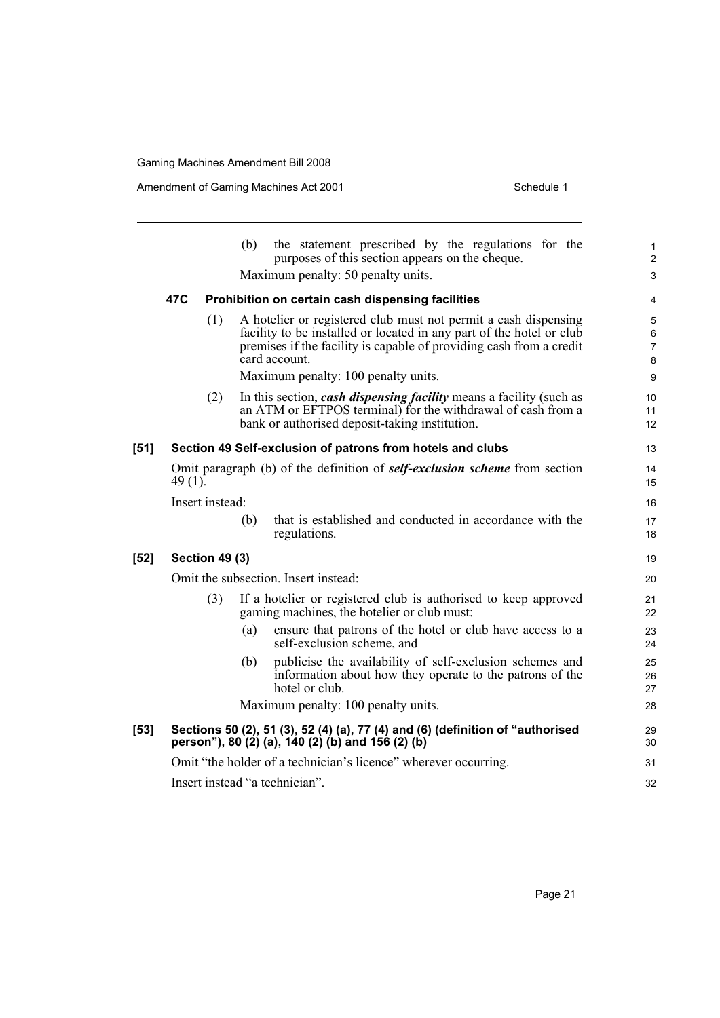Amendment of Gaming Machines Act 2001 Schedule 1

|        |         |                       | (b) | the statement prescribed by the regulations for the<br>purposes of this section appears on the cheque.                                                                                                                                                                 | $\mathbf{1}$<br>$\overline{2}$           |
|--------|---------|-----------------------|-----|------------------------------------------------------------------------------------------------------------------------------------------------------------------------------------------------------------------------------------------------------------------------|------------------------------------------|
|        |         |                       |     | Maximum penalty: 50 penalty units.                                                                                                                                                                                                                                     | $\mathfrak{S}$                           |
|        | 47C     |                       |     | Prohibition on certain cash dispensing facilities                                                                                                                                                                                                                      | 4                                        |
|        |         | (1)                   |     | A hotelier or registered club must not permit a cash dispensing<br>facility to be installed or located in any part of the hotel or club<br>premises if the facility is capable of providing cash from a credit<br>card account.<br>Maximum penalty: 100 penalty units. | 5<br>6<br>$\overline{7}$<br>$\bf 8$<br>9 |
|        |         | (2)                   |     | In this section, <i>cash dispensing facility</i> means a facility (such as<br>an ATM or EFTPOS terminal) for the withdrawal of cash from a<br>bank or authorised deposit-taking institution.                                                                           | 10<br>11<br>12                           |
| $[51]$ |         |                       |     | Section 49 Self-exclusion of patrons from hotels and clubs                                                                                                                                                                                                             | 13                                       |
|        | 49 (1). |                       |     | Omit paragraph (b) of the definition of <b>self-exclusion scheme</b> from section                                                                                                                                                                                      | 14<br>15                                 |
|        |         | Insert instead:       |     |                                                                                                                                                                                                                                                                        | 16                                       |
|        |         |                       | (b) | that is established and conducted in accordance with the<br>regulations.                                                                                                                                                                                               | 17<br>18                                 |
| $[52]$ |         | <b>Section 49 (3)</b> |     |                                                                                                                                                                                                                                                                        | 19                                       |
|        |         |                       |     | Omit the subsection. Insert instead:                                                                                                                                                                                                                                   | 20                                       |
|        |         | (3)                   |     | If a hotelier or registered club is authorised to keep approved<br>gaming machines, the hotelier or club must:                                                                                                                                                         | 21<br>22                                 |
|        |         |                       | (a) | ensure that patrons of the hotel or club have access to a<br>self-exclusion scheme, and                                                                                                                                                                                | 23<br>24                                 |
|        |         |                       | (b) | publicise the availability of self-exclusion schemes and<br>information about how they operate to the patrons of the<br>hotel or club.                                                                                                                                 | 25<br>26<br>27                           |
|        |         |                       |     | Maximum penalty: 100 penalty units.                                                                                                                                                                                                                                    | 28                                       |
| $[53]$ |         |                       |     | Sections 50 (2), 51 (3), 52 (4) (a), 77 (4) and (6) (definition of "authorised<br>person"), 80 (2) (a), 140 (2) (b) and 156 (2) (b)                                                                                                                                    | 29<br>30                                 |
|        |         |                       |     | Omit "the holder of a technician's licence" wherever occurring.                                                                                                                                                                                                        | 31                                       |
|        |         |                       |     | Insert instead "a technician".                                                                                                                                                                                                                                         | 32                                       |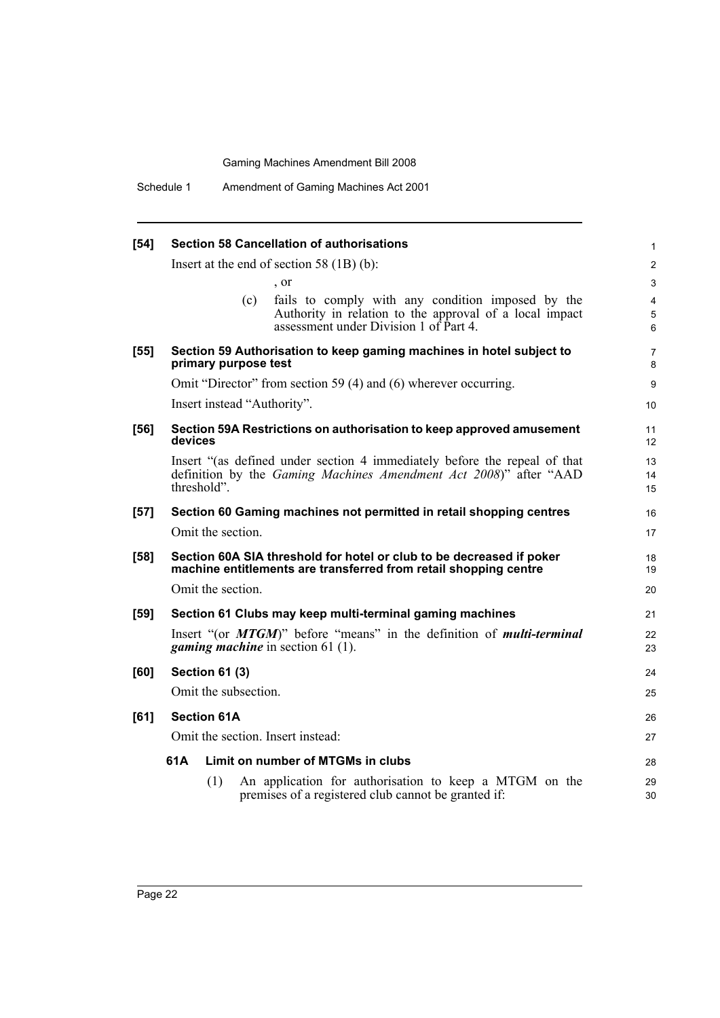| $[54]$ | <b>Section 58 Cancellation of authorisations</b>                                                                                                              | $\mathbf{1}$             |
|--------|---------------------------------------------------------------------------------------------------------------------------------------------------------------|--------------------------|
|        | Insert at the end of section 58 $(1B)$ (b):                                                                                                                   | 2                        |
|        | , or                                                                                                                                                          | 3                        |
|        | fails to comply with any condition imposed by the<br>(c)<br>Authority in relation to the approval of a local impact<br>assessment under Division 1 of Part 4. | $\overline{4}$<br>5<br>6 |
| $[55]$ | Section 59 Authorisation to keep gaming machines in hotel subject to<br>primary purpose test                                                                  | $\overline{7}$<br>8      |
|        | Omit "Director" from section 59 (4) and (6) wherever occurring.                                                                                               | 9                        |
|        | Insert instead "Authority".                                                                                                                                   | 10                       |
| $[56]$ | Section 59A Restrictions on authorisation to keep approved amusement<br>devices                                                                               | 11<br>12                 |
|        | Insert "(as defined under section 4 immediately before the repeal of that<br>definition by the Gaming Machines Amendment Act 2008)" after "AAD<br>threshold". | 13<br>14<br>15           |
| $[57]$ | Section 60 Gaming machines not permitted in retail shopping centres                                                                                           | 16                       |
|        | Omit the section.                                                                                                                                             | 17                       |
| [58]   | Section 60A SIA threshold for hotel or club to be decreased if poker<br>machine entitlements are transferred from retail shopping centre                      | 18<br>19                 |
|        | Omit the section.                                                                                                                                             | 20                       |
| $[59]$ | Section 61 Clubs may keep multi-terminal gaming machines                                                                                                      | 21                       |
|        | Insert "(or <i>MTGM</i> )" before "means" in the definition of <i>multi-terminal</i><br><i>gaming machine</i> in section $61(1)$ .                            | 22<br>23                 |
| [60]   | <b>Section 61 (3)</b>                                                                                                                                         | 24                       |
|        | Omit the subsection.                                                                                                                                          | 25                       |
| [61]   | <b>Section 61A</b>                                                                                                                                            | 26                       |
|        | Omit the section. Insert instead:                                                                                                                             | 27                       |
|        | Limit on number of MTGMs in clubs<br>61A                                                                                                                      | 28                       |
|        | An application for authorisation to keep a MTGM on the<br>(1)<br>premises of a registered club cannot be granted if:                                          | 29<br>30                 |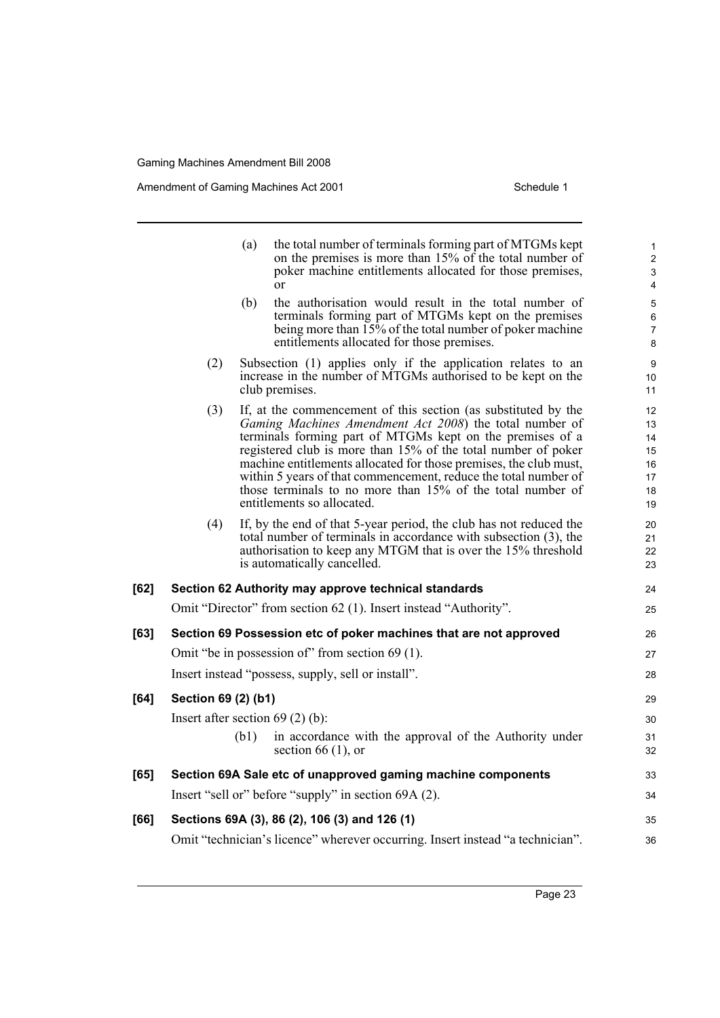Amendment of Gaming Machines Act 2001 Schedule 1

|      |                                                                                | (a)  | the total number of terminals forming part of MTGMs kept<br>on the premises is more than 15% of the total number of<br>poker machine entitlements allocated for those premises,<br><sub>or</sub>                                                                                                                                                                                                                                                                                            | 1<br>$\overline{2}$<br>3<br>4                               |  |  |  |
|------|--------------------------------------------------------------------------------|------|---------------------------------------------------------------------------------------------------------------------------------------------------------------------------------------------------------------------------------------------------------------------------------------------------------------------------------------------------------------------------------------------------------------------------------------------------------------------------------------------|-------------------------------------------------------------|--|--|--|
|      |                                                                                | (b)  | the authorisation would result in the total number of<br>terminals forming part of MTGMs kept on the premises<br>being more than $15\%$ of the total number of poker machine<br>entitlements allocated for those premises.                                                                                                                                                                                                                                                                  | 5<br>6<br>$\overline{7}$<br>8                               |  |  |  |
|      | (2)                                                                            |      | Subsection (1) applies only if the application relates to an<br>increase in the number of MTGMs authorised to be kept on the<br>club premises.                                                                                                                                                                                                                                                                                                                                              | 9<br>10<br>11                                               |  |  |  |
|      | (3)                                                                            |      | If, at the commencement of this section (as substituted by the<br>Gaming Machines Amendment Act 2008) the total number of<br>terminals forming part of MTGMs kept on the premises of a<br>registered club is more than 15% of the total number of poker<br>machine entitlements allocated for those premises, the club must,<br>within 5 years of that commencement, reduce the total number of<br>those terminals to no more than 15% of the total number of<br>entitlements so allocated. | $12 \overline{ }$<br>13<br>14<br>15<br>16<br>17<br>18<br>19 |  |  |  |
|      | (4)                                                                            |      | If, by the end of that 5-year period, the club has not reduced the<br>total number of terminals in accordance with subsection (3), the<br>authorisation to keep any MTGM that is over the 15% threshold<br>is automatically cancelled.                                                                                                                                                                                                                                                      | 20<br>21<br>22<br>23                                        |  |  |  |
| [62] |                                                                                |      | Section 62 Authority may approve technical standards                                                                                                                                                                                                                                                                                                                                                                                                                                        | 24                                                          |  |  |  |
|      |                                                                                |      | Omit "Director" from section 62 (1). Insert instead "Authority".                                                                                                                                                                                                                                                                                                                                                                                                                            | 25                                                          |  |  |  |
| [63] |                                                                                |      | Section 69 Possession etc of poker machines that are not approved                                                                                                                                                                                                                                                                                                                                                                                                                           | 26                                                          |  |  |  |
|      | Omit "be in possession of" from section 69 (1).                                |      |                                                                                                                                                                                                                                                                                                                                                                                                                                                                                             |                                                             |  |  |  |
|      |                                                                                |      | Insert instead "possess, supply, sell or install".                                                                                                                                                                                                                                                                                                                                                                                                                                          | 28                                                          |  |  |  |
| [64] | Section 69 (2) (b1)                                                            |      |                                                                                                                                                                                                                                                                                                                                                                                                                                                                                             | 29                                                          |  |  |  |
|      |                                                                                |      | Insert after section $69$ (2) (b):                                                                                                                                                                                                                                                                                                                                                                                                                                                          | 30                                                          |  |  |  |
|      |                                                                                | (b1) | in accordance with the approval of the Authority under<br>section 66 $(1)$ , or                                                                                                                                                                                                                                                                                                                                                                                                             | 31<br>32                                                    |  |  |  |
| [65] |                                                                                |      | Section 69A Sale etc of unapproved gaming machine components                                                                                                                                                                                                                                                                                                                                                                                                                                | 33                                                          |  |  |  |
|      |                                                                                |      | Insert "sell or" before "supply" in section 69A (2).                                                                                                                                                                                                                                                                                                                                                                                                                                        | 34                                                          |  |  |  |
| [66] |                                                                                |      | Sections 69A (3), 86 (2), 106 (3) and 126 (1)                                                                                                                                                                                                                                                                                                                                                                                                                                               | 35                                                          |  |  |  |
|      | Omit "technician's licence" wherever occurring. Insert instead "a technician". |      |                                                                                                                                                                                                                                                                                                                                                                                                                                                                                             |                                                             |  |  |  |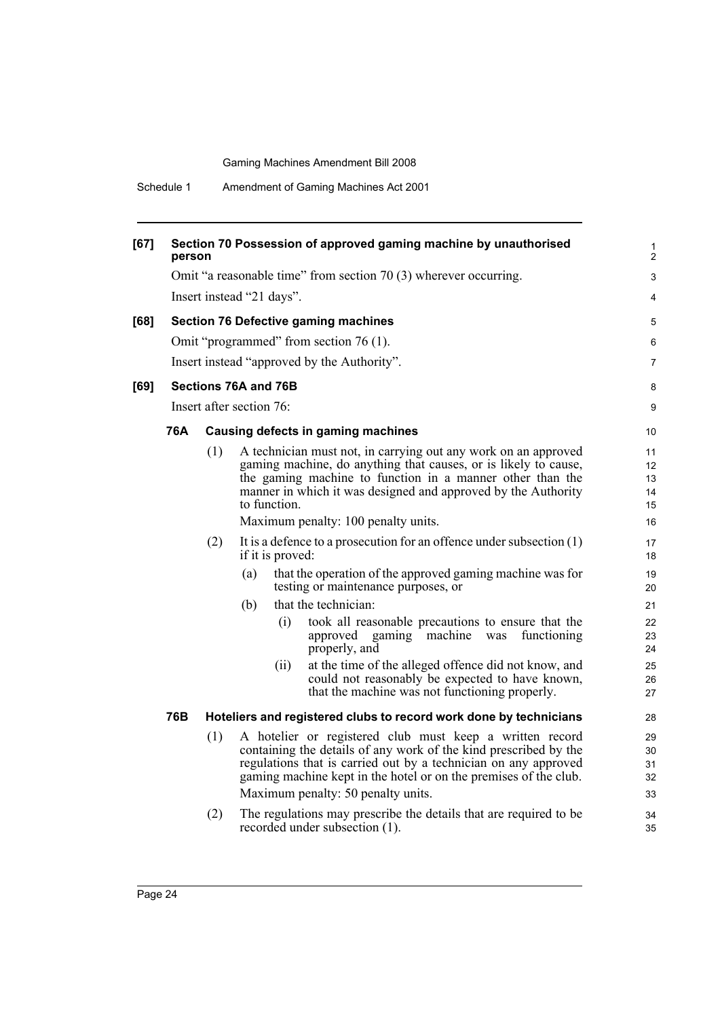Schedule 1 Amendment of Gaming Machines Act 2001

| [67] | Section 70 Possession of approved gaming machine by unauthorised<br>person |                          |                                                                                                                                                                                                                                                                                 |                                     |                                                                                                                                                                                                                                                                                                           |                                                                                                                                                           |                |  |  |
|------|----------------------------------------------------------------------------|--------------------------|---------------------------------------------------------------------------------------------------------------------------------------------------------------------------------------------------------------------------------------------------------------------------------|-------------------------------------|-----------------------------------------------------------------------------------------------------------------------------------------------------------------------------------------------------------------------------------------------------------------------------------------------------------|-----------------------------------------------------------------------------------------------------------------------------------------------------------|----------------|--|--|
|      | Omit "a reasonable time" from section 70 (3) wherever occurring.           |                          |                                                                                                                                                                                                                                                                                 |                                     |                                                                                                                                                                                                                                                                                                           |                                                                                                                                                           |                |  |  |
|      | Insert instead "21 days".                                                  |                          |                                                                                                                                                                                                                                                                                 |                                     |                                                                                                                                                                                                                                                                                                           |                                                                                                                                                           |                |  |  |
| [68] |                                                                            |                          |                                                                                                                                                                                                                                                                                 |                                     | <b>Section 76 Defective gaming machines</b>                                                                                                                                                                                                                                                               | 5                                                                                                                                                         |                |  |  |
|      |                                                                            |                          |                                                                                                                                                                                                                                                                                 |                                     | Omit "programmed" from section 76 (1).                                                                                                                                                                                                                                                                    | 6                                                                                                                                                         |                |  |  |
|      |                                                                            |                          |                                                                                                                                                                                                                                                                                 |                                     | Insert instead "approved by the Authority".                                                                                                                                                                                                                                                               | 7                                                                                                                                                         |                |  |  |
| [69] |                                                                            |                          |                                                                                                                                                                                                                                                                                 | Sections 76A and 76B                |                                                                                                                                                                                                                                                                                                           | 8                                                                                                                                                         |                |  |  |
|      |                                                                            | Insert after section 76: |                                                                                                                                                                                                                                                                                 |                                     |                                                                                                                                                                                                                                                                                                           | 9                                                                                                                                                         |                |  |  |
|      |                                                                            |                          |                                                                                                                                                                                                                                                                                 |                                     |                                                                                                                                                                                                                                                                                                           |                                                                                                                                                           |                |  |  |
|      | <b>76A</b>                                                                 |                          |                                                                                                                                                                                                                                                                                 |                                     | Causing defects in gaming machines                                                                                                                                                                                                                                                                        | 10                                                                                                                                                        |                |  |  |
|      |                                                                            | (1)                      | A technician must not, in carrying out any work on an approved<br>gaming machine, do anything that causes, or is likely to cause,<br>the gaming machine to function in a manner other than the<br>manner in which it was designed and approved by the Authority<br>to function. |                                     | 11<br>12<br>13<br>14<br>15                                                                                                                                                                                                                                                                                |                                                                                                                                                           |                |  |  |
|      |                                                                            |                          |                                                                                                                                                                                                                                                                                 | Maximum penalty: 100 penalty units. |                                                                                                                                                                                                                                                                                                           |                                                                                                                                                           |                |  |  |
|      |                                                                            | (2)                      |                                                                                                                                                                                                                                                                                 | if it is proved:                    | It is a defence to a prosecution for an offence under subsection $(1)$                                                                                                                                                                                                                                    | 17<br>18                                                                                                                                                  |                |  |  |
|      |                                                                            |                          | (a)                                                                                                                                                                                                                                                                             |                                     | that the operation of the approved gaming machine was for<br>testing or maintenance purposes, or                                                                                                                                                                                                          | 19<br>20                                                                                                                                                  |                |  |  |
|      |                                                                            |                          | (b)                                                                                                                                                                                                                                                                             |                                     | that the technician:                                                                                                                                                                                                                                                                                      | 21                                                                                                                                                        |                |  |  |
|      |                                                                            |                          |                                                                                                                                                                                                                                                                                 | (i)                                 | took all reasonable precautions to ensure that the<br>approved gaming<br>machine<br>was<br>functioning<br>properly, and                                                                                                                                                                                   | 22<br>23<br>24                                                                                                                                            |                |  |  |
|      |                                                                            |                          |                                                                                                                                                                                                                                                                                 |                                     | (ii)                                                                                                                                                                                                                                                                                                      | at the time of the alleged offence did not know, and<br>could not reasonably be expected to have known,<br>that the machine was not functioning properly. | 25<br>26<br>27 |  |  |
|      | 76B                                                                        |                          |                                                                                                                                                                                                                                                                                 |                                     | Hoteliers and registered clubs to record work done by technicians                                                                                                                                                                                                                                         | 28                                                                                                                                                        |                |  |  |
|      |                                                                            | (1)                      |                                                                                                                                                                                                                                                                                 |                                     | A hotelier or registered club must keep a written record<br>containing the details of any work of the kind prescribed by the<br>regulations that is carried out by a technician on any approved<br>gaming machine kept in the hotel or on the premises of the club.<br>Maximum penalty: 50 penalty units. | 29<br>30<br>31<br>32<br>33                                                                                                                                |                |  |  |
|      |                                                                            | (2)                      |                                                                                                                                                                                                                                                                                 |                                     | The regulations may prescribe the details that are required to be<br>recorded under subsection (1).                                                                                                                                                                                                       | 34<br>35                                                                                                                                                  |                |  |  |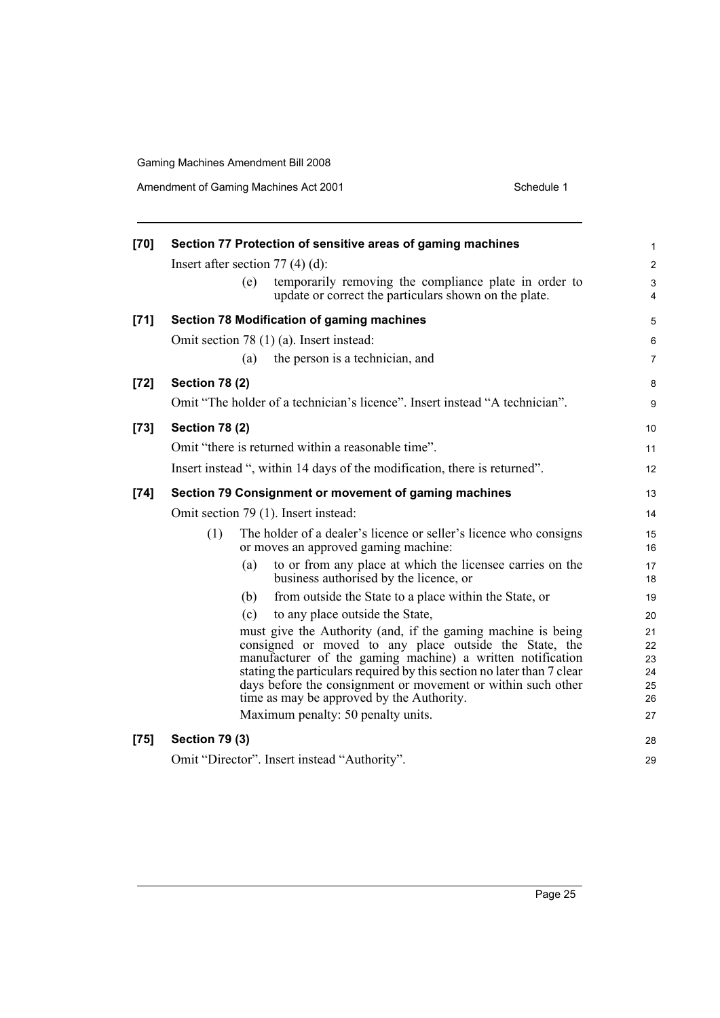Amendment of Gaming Machines Act 2001 Schedule 1

| $[70]$ | Section 77 Protection of sensitive areas of gaming machines                                                                          |                 |  |  |  |  |  |  |
|--------|--------------------------------------------------------------------------------------------------------------------------------------|-----------------|--|--|--|--|--|--|
|        | Insert after section $77(4)(d)$ :                                                                                                    | $\overline{2}$  |  |  |  |  |  |  |
|        | (e)<br>temporarily removing the compliance plate in order to<br>update or correct the particulars shown on the plate.                | 3<br>4          |  |  |  |  |  |  |
| $[71]$ | <b>Section 78 Modification of gaming machines</b>                                                                                    | 5               |  |  |  |  |  |  |
|        | Omit section 78 (1) (a). Insert instead:                                                                                             | 6               |  |  |  |  |  |  |
|        | the person is a technician, and<br>(a)                                                                                               | $\overline{7}$  |  |  |  |  |  |  |
| $[72]$ | <b>Section 78 (2)</b>                                                                                                                | 8               |  |  |  |  |  |  |
|        | Omit "The holder of a technician's licence". Insert instead "A technician".                                                          | 9               |  |  |  |  |  |  |
| $[73]$ | <b>Section 78 (2)</b>                                                                                                                | 10 <sup>°</sup> |  |  |  |  |  |  |
|        | Omit "there is returned within a reasonable time".                                                                                   | 11              |  |  |  |  |  |  |
|        | Insert instead ", within 14 days of the modification, there is returned".                                                            | 12              |  |  |  |  |  |  |
| $[74]$ | Section 79 Consignment or movement of gaming machines                                                                                |                 |  |  |  |  |  |  |
|        | Omit section 79 (1). Insert instead:                                                                                                 | 14              |  |  |  |  |  |  |
|        | (1)<br>The holder of a dealer's licence or seller's licence who consigns<br>or moves an approved gaming machine:                     | 15<br>16        |  |  |  |  |  |  |
|        | to or from any place at which the licensee carries on the<br>(a)<br>business authorised by the licence, or                           | 17<br>18        |  |  |  |  |  |  |
|        | (b)<br>from outside the State to a place within the State, or                                                                        | 19              |  |  |  |  |  |  |
|        | (c)<br>to any place outside the State,                                                                                               | 20              |  |  |  |  |  |  |
|        | must give the Authority (and, if the gaming machine is being                                                                         | 21              |  |  |  |  |  |  |
|        | consigned or moved to any place outside the State, the                                                                               | 22              |  |  |  |  |  |  |
|        | manufacturer of the gaming machine) a written notification<br>stating the particulars required by this section no later than 7 clear | 23<br>24        |  |  |  |  |  |  |
|        | days before the consignment or movement or within such other                                                                         | 25              |  |  |  |  |  |  |
|        | time as may be approved by the Authority.                                                                                            | 26              |  |  |  |  |  |  |
|        | Maximum penalty: 50 penalty units.                                                                                                   | 27              |  |  |  |  |  |  |
| $[75]$ | <b>Section 79 (3)</b>                                                                                                                | 28              |  |  |  |  |  |  |
|        | Omit "Director". Insert instead "Authority".                                                                                         |                 |  |  |  |  |  |  |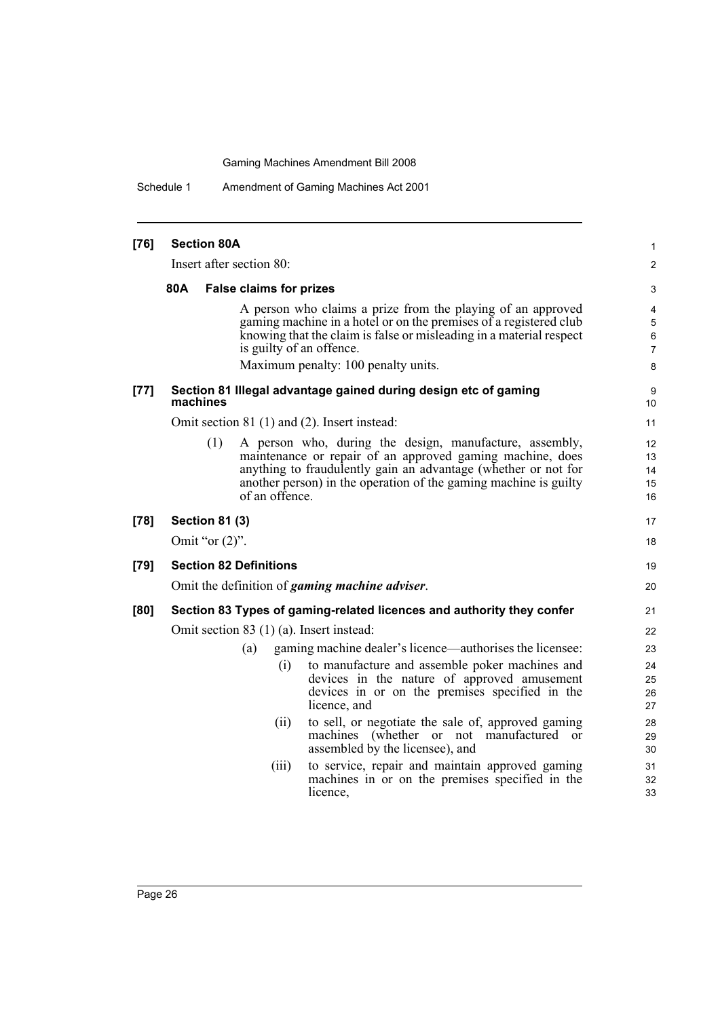Schedule 1 Amendment of Gaming Machines Act 2001

| $[76]$ | <b>Section 80A</b>    |                                                                                                                                                                                                                                                                              | 1                                             |
|--------|-----------------------|------------------------------------------------------------------------------------------------------------------------------------------------------------------------------------------------------------------------------------------------------------------------------|-----------------------------------------------|
|        |                       | Insert after section 80:                                                                                                                                                                                                                                                     | $\overline{2}$                                |
|        | 80A                   | <b>False claims for prizes</b>                                                                                                                                                                                                                                               | 3                                             |
|        |                       | A person who claims a prize from the playing of an approved<br>gaming machine in a hotel or on the premises of a registered club<br>knowing that the claim is false or misleading in a material respect<br>is guilty of an offence.                                          | 4<br>$\mathbf 5$<br>$\,6\,$<br>$\overline{7}$ |
|        |                       | Maximum penalty: 100 penalty units.                                                                                                                                                                                                                                          | 8                                             |
| $[77]$ | machines              | Section 81 Illegal advantage gained during design etc of gaming                                                                                                                                                                                                              | 9<br>10                                       |
|        |                       | Omit section 81 (1) and (2). Insert instead:                                                                                                                                                                                                                                 | 11                                            |
|        | (1)                   | A person who, during the design, manufacture, assembly,<br>maintenance or repair of an approved gaming machine, does<br>anything to fraudulently gain an advantage (whether or not for<br>another person) in the operation of the gaming machine is guilty<br>of an offence. | 12<br>13<br>14<br>15<br>16                    |
| $[78]$ | <b>Section 81 (3)</b> |                                                                                                                                                                                                                                                                              | 17                                            |
|        | Omit "or $(2)$ ".     |                                                                                                                                                                                                                                                                              | 18                                            |
| $[79]$ |                       | <b>Section 82 Definitions</b>                                                                                                                                                                                                                                                | 19                                            |
|        |                       | Omit the definition of <i>gaming machine adviser</i> .                                                                                                                                                                                                                       | 20                                            |
| [80]   |                       | Section 83 Types of gaming-related licences and authority they confer                                                                                                                                                                                                        | 21                                            |
|        |                       | Omit section 83 (1) (a). Insert instead:                                                                                                                                                                                                                                     | 22                                            |
|        |                       | gaming machine dealer's licence—authorises the licensee:<br>(a)<br>to manufacture and assemble poker machines and<br>(i)<br>devices in the nature of approved amusement<br>devices in or on the premises specified in the<br>licence, and                                    | 23<br>24<br>25<br>26<br>27                    |
|        |                       | to sell, or negotiate the sale of, approved gaming<br>(ii)<br>machines (whether or not manufactured or<br>assembled by the licensee), and                                                                                                                                    | 28<br>29<br>30                                |
|        |                       | to service, repair and maintain approved gaming<br>(iii)<br>machines in or on the premises specified in the<br>licence,                                                                                                                                                      | 31<br>32<br>33                                |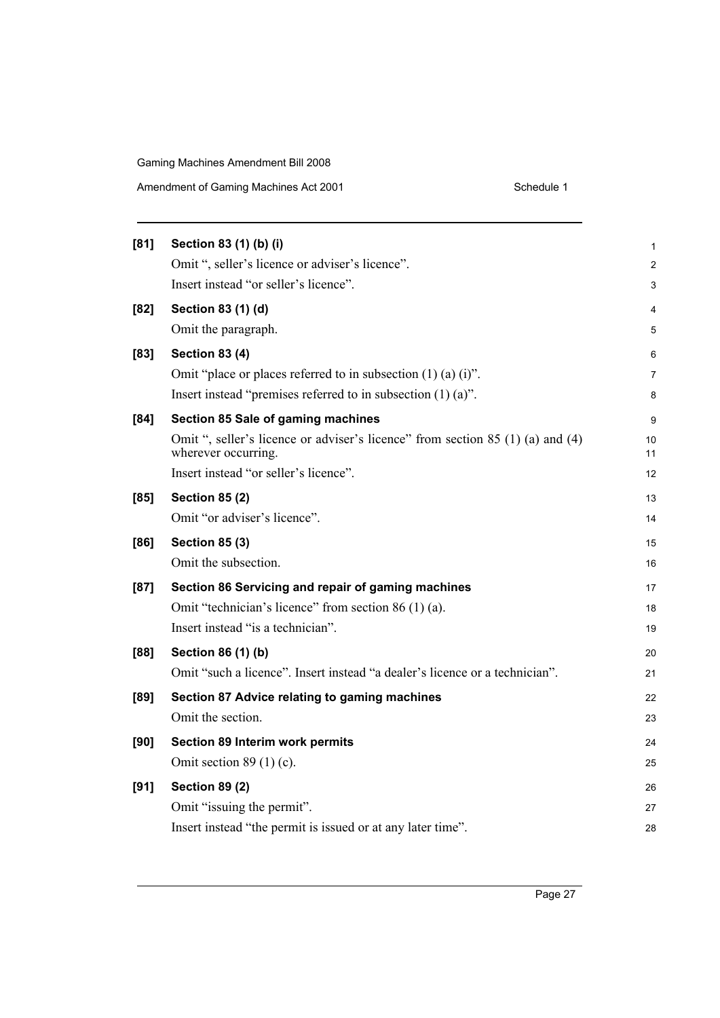| [81]   | Section 83 (1) (b) (i)                                                                                | $\mathbf{1}$   |
|--------|-------------------------------------------------------------------------------------------------------|----------------|
|        | Omit ", seller's licence or adviser's licence".                                                       | $\overline{2}$ |
|        | Insert instead "or seller's licence".                                                                 | 3              |
| [82]   | Section 83 (1) (d)                                                                                    | 4              |
|        | Omit the paragraph.                                                                                   | 5              |
| $[83]$ | <b>Section 83 (4)</b>                                                                                 | 6              |
|        | Omit "place or places referred to in subsection $(1)$ $(a)$ $(i)$ ".                                  | 7              |
|        | Insert instead "premises referred to in subsection $(1)$ $(a)$ ".                                     | 8              |
| [84]   | Section 85 Sale of gaming machines                                                                    | 9              |
|        | Omit ", seller's licence or adviser's licence" from section 85 (1) (a) and (4)<br>wherever occurring. | 10<br>11       |
|        | Insert instead "or seller's licence".                                                                 | 12             |
| [85]   | <b>Section 85 (2)</b>                                                                                 | 13             |
|        | Omit "or adviser's licence".                                                                          | 14             |
| [86]   | <b>Section 85 (3)</b>                                                                                 | 15             |
|        | Omit the subsection.                                                                                  | 16             |
| [87]   | Section 86 Servicing and repair of gaming machines                                                    | 17             |
|        | Omit "technician's licence" from section 86 (1) (a).                                                  | 18             |
|        | Insert instead "is a technician".                                                                     | 19             |
| [88]   | Section 86 (1) (b)                                                                                    | 20             |
|        | Omit "such a licence". Insert instead "a dealer's licence or a technician".                           | 21             |
| [89]   | Section 87 Advice relating to gaming machines                                                         | 22             |
|        | Omit the section.                                                                                     | 23             |
| [90]   | Section 89 Interim work permits                                                                       | 24             |
|        | Omit section $89(1)(c)$ .                                                                             | 25             |
| [91]   | <b>Section 89 (2)</b>                                                                                 | 26             |
|        | Omit "issuing the permit".                                                                            | 27             |
|        | Insert instead "the permit is issued or at any later time".                                           | 28             |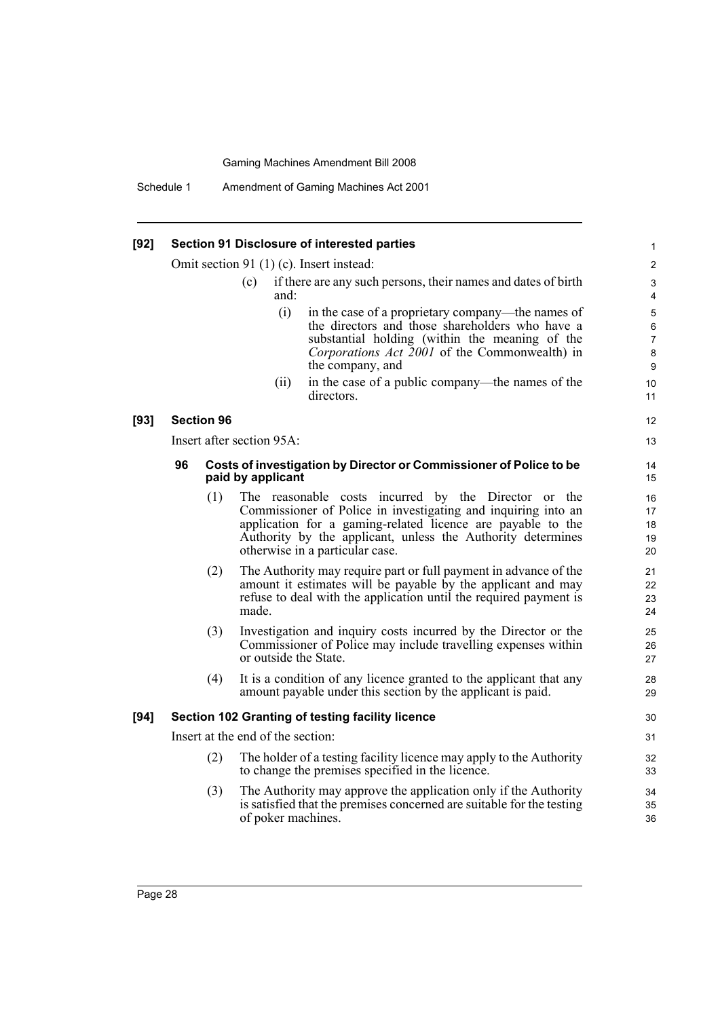Schedule 1 Amendment of Gaming Machines Act 2001

#### **[92] Section 91 Disclosure of interested parties**

Omit section 91 (1) (c). Insert instead:

- (c) if there are any such persons, their names and dates of birth and:
	- (i) in the case of a proprietary company—the names of the directors and those shareholders who have a substantial holding (within the meaning of the *Corporations Act 2001* of the Commonwealth) in the company, and

(ii) in the case of a public company—the names of the directors.

#### **[93] Section 96**

Insert after section 95A:

#### **96 Costs of investigation by Director or Commissioner of Police to be paid by applicant**

- (1) The reasonable costs incurred by the Director or the Commissioner of Police in investigating and inquiring into an application for a gaming-related licence are payable to the Authority by the applicant, unless the Authority determines otherwise in a particular case.
- (2) The Authority may require part or full payment in advance of the amount it estimates will be payable by the applicant and may refuse to deal with the application until the required payment is made.
- (3) Investigation and inquiry costs incurred by the Director or the Commissioner of Police may include travelling expenses within or outside the State.
- (4) It is a condition of any licence granted to the applicant that any amount payable under this section by the applicant is paid.

#### **[94] Section 102 Granting of testing facility licence**

Insert at the end of the section:

- (2) The holder of a testing facility licence may apply to the Authority to change the premises specified in the licence.
- (3) The Authority may approve the application only if the Authority is satisfied that the premises concerned are suitable for the testing of poker machines.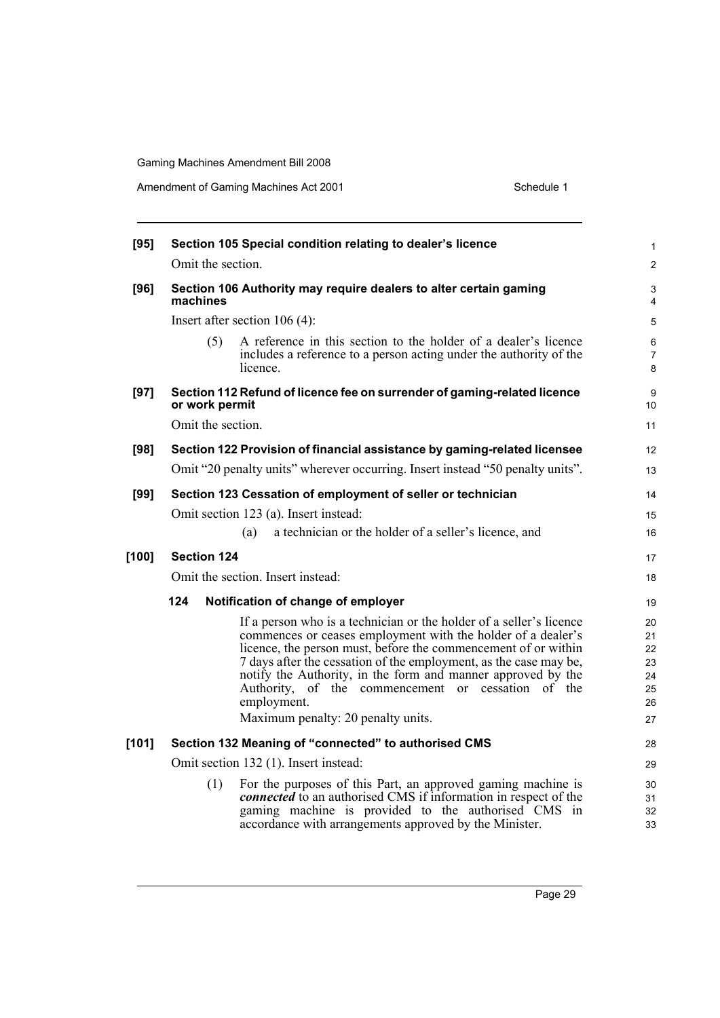| [95]  | Section 105 Special condition relating to dealer's licence                                                                                                                                                                                                                                                                                                                                                                                            | $\mathbf{1}$                                 |  |  |  |  |
|-------|-------------------------------------------------------------------------------------------------------------------------------------------------------------------------------------------------------------------------------------------------------------------------------------------------------------------------------------------------------------------------------------------------------------------------------------------------------|----------------------------------------------|--|--|--|--|
|       | Omit the section.                                                                                                                                                                                                                                                                                                                                                                                                                                     | $\overline{2}$                               |  |  |  |  |
| [96]  | Section 106 Authority may require dealers to alter certain gaming<br>machines                                                                                                                                                                                                                                                                                                                                                                         |                                              |  |  |  |  |
|       | Insert after section $106(4)$ :                                                                                                                                                                                                                                                                                                                                                                                                                       | 5                                            |  |  |  |  |
|       | A reference in this section to the holder of a dealer's licence<br>(5)<br>includes a reference to a person acting under the authority of the<br>licence.                                                                                                                                                                                                                                                                                              | 6<br>$\overline{7}$<br>8                     |  |  |  |  |
| [97]  | Section 112 Refund of licence fee on surrender of gaming-related licence<br>or work permit                                                                                                                                                                                                                                                                                                                                                            | 9<br>10                                      |  |  |  |  |
|       | Omit the section.                                                                                                                                                                                                                                                                                                                                                                                                                                     | 11                                           |  |  |  |  |
| [98]  | Section 122 Provision of financial assistance by gaming-related licensee                                                                                                                                                                                                                                                                                                                                                                              | 12                                           |  |  |  |  |
|       | Omit "20 penalty units" wherever occurring. Insert instead "50 penalty units".                                                                                                                                                                                                                                                                                                                                                                        |                                              |  |  |  |  |
| [99]  | Section 123 Cessation of employment of seller or technician                                                                                                                                                                                                                                                                                                                                                                                           | 14                                           |  |  |  |  |
|       | Omit section 123 (a). Insert instead:                                                                                                                                                                                                                                                                                                                                                                                                                 | 15                                           |  |  |  |  |
|       | a technician or the holder of a seller's licence, and<br>(a)                                                                                                                                                                                                                                                                                                                                                                                          | 16                                           |  |  |  |  |
| [100] | <b>Section 124</b>                                                                                                                                                                                                                                                                                                                                                                                                                                    | 17                                           |  |  |  |  |
|       | Omit the section. Insert instead:                                                                                                                                                                                                                                                                                                                                                                                                                     | 18                                           |  |  |  |  |
|       | 124<br>Notification of change of employer                                                                                                                                                                                                                                                                                                                                                                                                             | 19                                           |  |  |  |  |
|       | If a person who is a technician or the holder of a seller's licence<br>commences or ceases employment with the holder of a dealer's<br>licence, the person must, before the commencement of or within<br>7 days after the cessation of the employment, as the case may be,<br>notify the Authority, in the form and manner approved by the<br>Authority, of the commencement or cessation of the<br>employment.<br>Maximum penalty: 20 penalty units. | 20<br>21<br>22<br>23<br>24<br>25<br>26<br>27 |  |  |  |  |
| [101] | Section 132 Meaning of "connected" to authorised CMS                                                                                                                                                                                                                                                                                                                                                                                                  | 28                                           |  |  |  |  |
|       | Omit section 132 (1). Insert instead:                                                                                                                                                                                                                                                                                                                                                                                                                 |                                              |  |  |  |  |
|       | For the purposes of this Part, an approved gaming machine is<br>(1)<br><i>connected</i> to an authorised CMS if information in respect of the<br>gaming machine is provided to the authorised CMS in<br>accordance with arrangements approved by the Minister.                                                                                                                                                                                        | 29<br>30<br>31<br>32<br>33                   |  |  |  |  |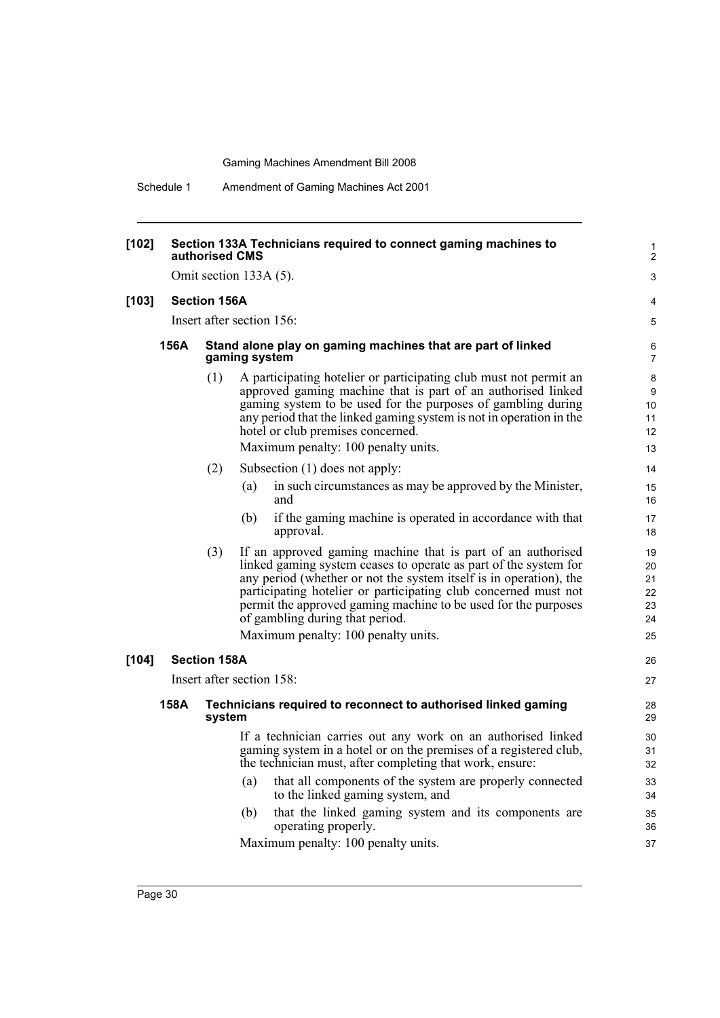Schedule 1 Amendment of Gaming Machines Act 2001

| [102]   |                        | Section 133A Technicians required to connect gaming machines to<br>authorised CMS |               |                                                                                                                                                                                                                                                                                                                                                                               |                                  |  |  |
|---------|------------------------|-----------------------------------------------------------------------------------|---------------|-------------------------------------------------------------------------------------------------------------------------------------------------------------------------------------------------------------------------------------------------------------------------------------------------------------------------------------------------------------------------------|----------------------------------|--|--|
|         | Omit section 133A (5). |                                                                                   |               |                                                                                                                                                                                                                                                                                                                                                                               |                                  |  |  |
| $[103]$ |                        | <b>Section 156A</b>                                                               |               |                                                                                                                                                                                                                                                                                                                                                                               | 4                                |  |  |
|         |                        | Insert after section 156:                                                         |               |                                                                                                                                                                                                                                                                                                                                                                               |                                  |  |  |
|         | 156A                   |                                                                                   | gaming system | Stand alone play on gaming machines that are part of linked                                                                                                                                                                                                                                                                                                                   | 6<br>7                           |  |  |
|         |                        | (1)                                                                               |               | A participating hotelier or participating club must not permit an<br>approved gaming machine that is part of an authorised linked<br>gaming system to be used for the purposes of gambling during<br>any period that the linked gaming system is not in operation in the<br>hotel or club premises concerned.<br>Maximum penalty: 100 penalty units.                          | 8<br>9<br>10<br>11<br>12<br>13   |  |  |
|         |                        | (2)                                                                               |               | Subsection $(1)$ does not apply:                                                                                                                                                                                                                                                                                                                                              | 14                               |  |  |
|         |                        |                                                                                   | (a)           | in such circumstances as may be approved by the Minister,<br>and                                                                                                                                                                                                                                                                                                              | 15<br>16                         |  |  |
|         |                        |                                                                                   | (b)           | if the gaming machine is operated in accordance with that<br>approval.                                                                                                                                                                                                                                                                                                        | 17<br>18                         |  |  |
|         |                        | (3)                                                                               |               | If an approved gaming machine that is part of an authorised<br>linked gaming system ceases to operate as part of the system for<br>any period (whether or not the system itself is in operation), the<br>participating hotelier or participating club concerned must not<br>permit the approved gaming machine to be used for the purposes<br>of gambling during that period. | 19<br>20<br>21<br>22<br>23<br>24 |  |  |
|         |                        |                                                                                   |               | Maximum penalty: 100 penalty units.                                                                                                                                                                                                                                                                                                                                           | 25                               |  |  |
| $[104]$ |                        | <b>Section 158A</b>                                                               |               |                                                                                                                                                                                                                                                                                                                                                                               | 26                               |  |  |
|         |                        | Insert after section 158:                                                         |               |                                                                                                                                                                                                                                                                                                                                                                               |                                  |  |  |
|         | 158A                   | system                                                                            |               | Technicians required to reconnect to authorised linked gaming                                                                                                                                                                                                                                                                                                                 | 28<br>29                         |  |  |
|         |                        |                                                                                   |               | If a technician carries out any work on an authorised linked<br>gaming system in a hotel or on the premises of a registered club,<br>the technician must, after completing that work, ensure:                                                                                                                                                                                 | 30<br>31<br>32                   |  |  |
|         |                        |                                                                                   | (a)           | that all components of the system are properly connected<br>to the linked gaming system, and                                                                                                                                                                                                                                                                                  | 33<br>34                         |  |  |
|         |                        |                                                                                   | (b)           | that the linked gaming system and its components are<br>operating properly.                                                                                                                                                                                                                                                                                                   | 35<br>36                         |  |  |
|         |                        |                                                                                   |               | Maximum penalty: 100 penalty units.                                                                                                                                                                                                                                                                                                                                           | 37                               |  |  |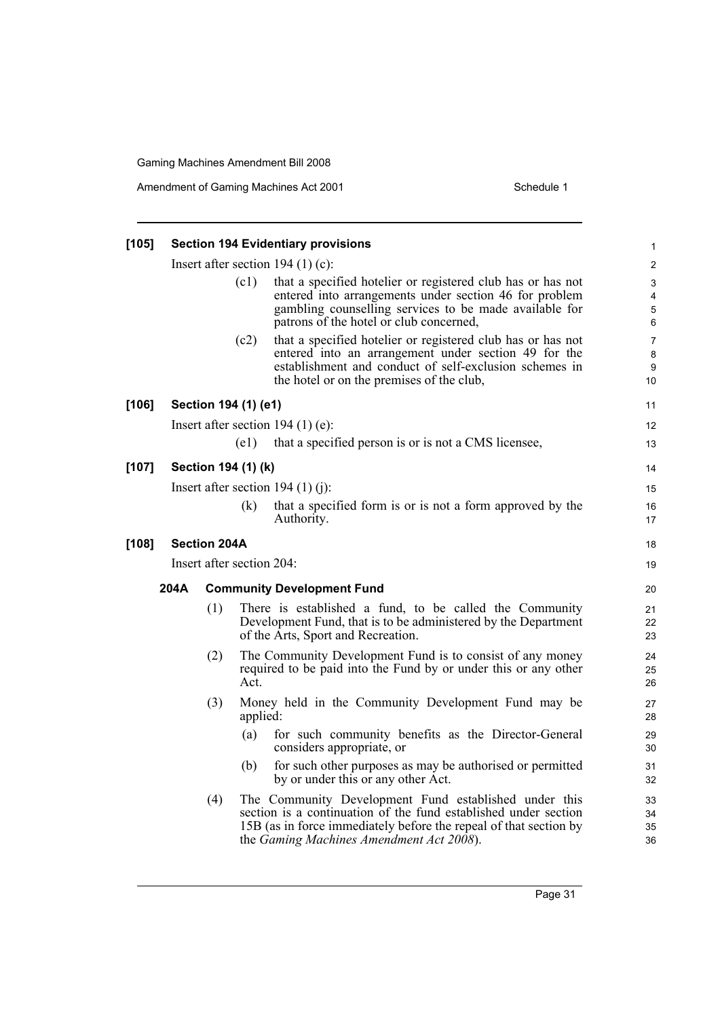Amendment of Gaming Machines Act 2001 Schedule 1

| $[105]$ |                                        |                     |                                   | <b>Section 194 Evidentiary provisions</b>                                                                                                                                                                                                 | 1                              |  |  |
|---------|----------------------------------------|---------------------|-----------------------------------|-------------------------------------------------------------------------------------------------------------------------------------------------------------------------------------------------------------------------------------------|--------------------------------|--|--|
|         | Insert after section 194 $(1)$ $(c)$ : |                     |                                   |                                                                                                                                                                                                                                           |                                |  |  |
|         | (c1)                                   |                     |                                   | that a specified hotelier or registered club has or has not<br>entered into arrangements under section 46 for problem<br>gambling counselling services to be made available for<br>patrons of the hotel or club concerned,                | 3<br>4<br>5<br>6               |  |  |
|         |                                        |                     | (c2)                              | that a specified hotelier or registered club has or has not<br>entered into an arrangement under section 49 for the<br>establishment and conduct of self-exclusion schemes in<br>the hotel or on the premises of the club,                | $\overline{7}$<br>8<br>9<br>10 |  |  |
| [106]   |                                        |                     | Section 194 (1) (e1)              |                                                                                                                                                                                                                                           | 11                             |  |  |
|         |                                        |                     |                                   | Insert after section $194 (1) (e)$ :                                                                                                                                                                                                      | 12                             |  |  |
|         |                                        |                     | (e1)                              | that a specified person is or is not a CMS licensee,                                                                                                                                                                                      | 13                             |  |  |
| $[107]$ |                                        |                     | Section 194 (1) (k)               |                                                                                                                                                                                                                                           | 14                             |  |  |
|         | Insert after section 194 $(1)$ (j):    |                     |                                   |                                                                                                                                                                                                                                           | 15                             |  |  |
|         |                                        |                     | (k)                               | that a specified form is or is not a form approved by the<br>Authority.                                                                                                                                                                   | 16<br>17                       |  |  |
| $[108]$ |                                        | <b>Section 204A</b> |                                   |                                                                                                                                                                                                                                           | 18                             |  |  |
|         | Insert after section 204:              |                     |                                   |                                                                                                                                                                                                                                           |                                |  |  |
|         | 204A                                   |                     | <b>Community Development Fund</b> |                                                                                                                                                                                                                                           |                                |  |  |
|         |                                        | (1)                 |                                   | There is established a fund, to be called the Community<br>Development Fund, that is to be administered by the Department<br>of the Arts, Sport and Recreation.                                                                           | 21<br>22<br>23                 |  |  |
|         |                                        | (2)                 | Act.                              | The Community Development Fund is to consist of any money<br>required to be paid into the Fund by or under this or any other                                                                                                              | 24<br>25<br>26                 |  |  |
|         |                                        | (3)                 | applied:                          | Money held in the Community Development Fund may be                                                                                                                                                                                       | 27<br>28                       |  |  |
|         |                                        |                     | (a)                               | for such community benefits as the Director-General<br>considers appropriate, or                                                                                                                                                          | 29<br>30                       |  |  |
|         |                                        |                     | (b)                               | for such other purposes as may be authorised or permitted<br>by or under this or any other Act.                                                                                                                                           | 31<br>32                       |  |  |
|         |                                        | (4)                 |                                   | The Community Development Fund established under this<br>section is a continuation of the fund established under section<br>15B (as in force immediately before the repeal of that section by<br>the Gaming Machines Amendment Act 2008). | 33<br>34<br>35<br>36           |  |  |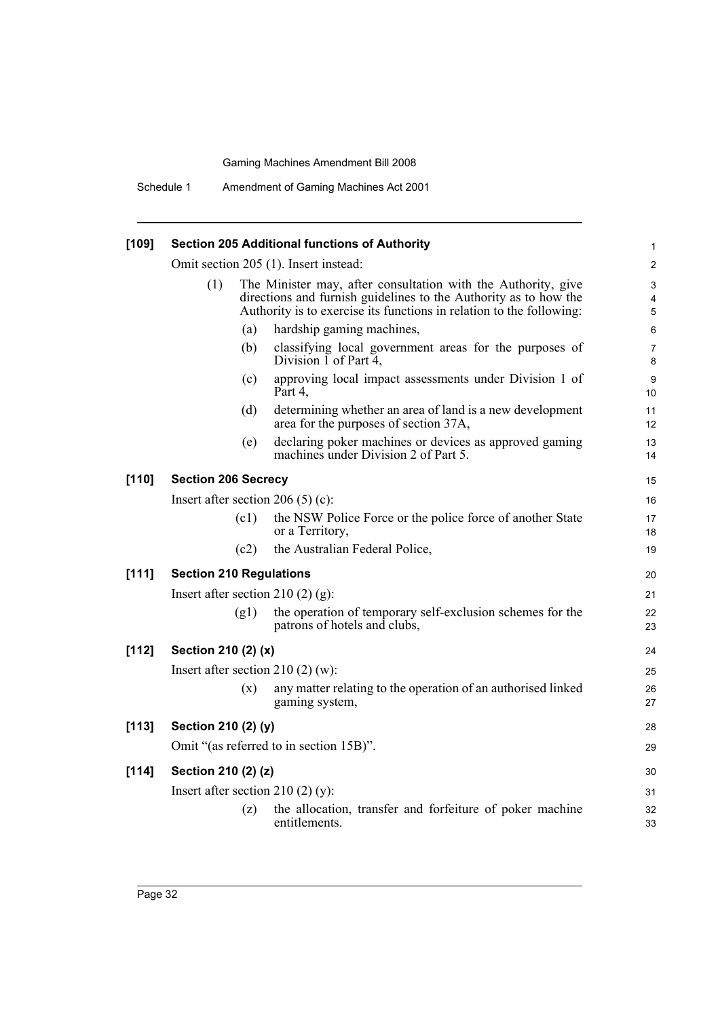Schedule 1 Amendment of Gaming Machines Act 2001

|                                       |      |                                                                                                   | 1                                                                                                                                                                                                                                                                                                                                                                                                                                                               |  |  |
|---------------------------------------|------|---------------------------------------------------------------------------------------------------|-----------------------------------------------------------------------------------------------------------------------------------------------------------------------------------------------------------------------------------------------------------------------------------------------------------------------------------------------------------------------------------------------------------------------------------------------------------------|--|--|
| Omit section 205 (1). Insert instead: |      |                                                                                                   |                                                                                                                                                                                                                                                                                                                                                                                                                                                                 |  |  |
| (1)                                   |      |                                                                                                   | 3<br>4<br>5                                                                                                                                                                                                                                                                                                                                                                                                                                                     |  |  |
|                                       | (a)  | hardship gaming machines,                                                                         | 6                                                                                                                                                                                                                                                                                                                                                                                                                                                               |  |  |
|                                       | (b)  | classifying local government areas for the purposes of<br>Division $\overline{1}$ of Part 4,      | $\overline{7}$<br>8                                                                                                                                                                                                                                                                                                                                                                                                                                             |  |  |
|                                       | (c)  | approving local impact assessments under Division 1 of<br>Part 4,                                 | 9<br>10                                                                                                                                                                                                                                                                                                                                                                                                                                                         |  |  |
|                                       | (d)  | determining whether an area of land is a new development<br>area for the purposes of section 37A, | 11<br>12                                                                                                                                                                                                                                                                                                                                                                                                                                                        |  |  |
|                                       | (e)  | declaring poker machines or devices as approved gaming<br>machines under Division 2 of Part 5.    | 13<br>14                                                                                                                                                                                                                                                                                                                                                                                                                                                        |  |  |
|                                       |      |                                                                                                   | 15                                                                                                                                                                                                                                                                                                                                                                                                                                                              |  |  |
| Insert after section $206(5)(c)$ :    |      |                                                                                                   |                                                                                                                                                                                                                                                                                                                                                                                                                                                                 |  |  |
|                                       | (c1) | the NSW Police Force or the police force of another State<br>or a Territory,                      | 17<br>18                                                                                                                                                                                                                                                                                                                                                                                                                                                        |  |  |
|                                       | (c2) | the Australian Federal Police,                                                                    | 19                                                                                                                                                                                                                                                                                                                                                                                                                                                              |  |  |
|                                       |      |                                                                                                   | 20                                                                                                                                                                                                                                                                                                                                                                                                                                                              |  |  |
| Insert after section 210 $(2)$ (g):   |      |                                                                                                   |                                                                                                                                                                                                                                                                                                                                                                                                                                                                 |  |  |
|                                       | (g1) | the operation of temporary self-exclusion schemes for the<br>patrons of hotels and clubs,         | 22<br>23                                                                                                                                                                                                                                                                                                                                                                                                                                                        |  |  |
| Section 210 (2) (x)                   |      |                                                                                                   |                                                                                                                                                                                                                                                                                                                                                                                                                                                                 |  |  |
| Insert after section $210(2)(w)$ :    |      |                                                                                                   |                                                                                                                                                                                                                                                                                                                                                                                                                                                                 |  |  |
|                                       | (x)  | any matter relating to the operation of an authorised linked<br>gaming system,                    | 26<br>27                                                                                                                                                                                                                                                                                                                                                                                                                                                        |  |  |
|                                       |      |                                                                                                   | 28                                                                                                                                                                                                                                                                                                                                                                                                                                                              |  |  |
|                                       |      |                                                                                                   | 29                                                                                                                                                                                                                                                                                                                                                                                                                                                              |  |  |
|                                       |      |                                                                                                   | 30                                                                                                                                                                                                                                                                                                                                                                                                                                                              |  |  |
|                                       |      |                                                                                                   | 31                                                                                                                                                                                                                                                                                                                                                                                                                                                              |  |  |
|                                       | (z)  | the allocation, transfer and forfeiture of poker machine<br>entitlements.                         | 32<br>33                                                                                                                                                                                                                                                                                                                                                                                                                                                        |  |  |
|                                       |      |                                                                                                   | <b>Section 205 Additional functions of Authority</b><br>The Minister may, after consultation with the Authority, give<br>directions and furnish guidelines to the Authority as to how the<br>Authority is to exercise its functions in relation to the following:<br><b>Section 206 Secrecy</b><br><b>Section 210 Regulations</b><br>Section 210 (2) (y)<br>Omit "(as referred to in section 15B)".<br>Section 210 (2) (z)<br>Insert after section 210 (2) (y): |  |  |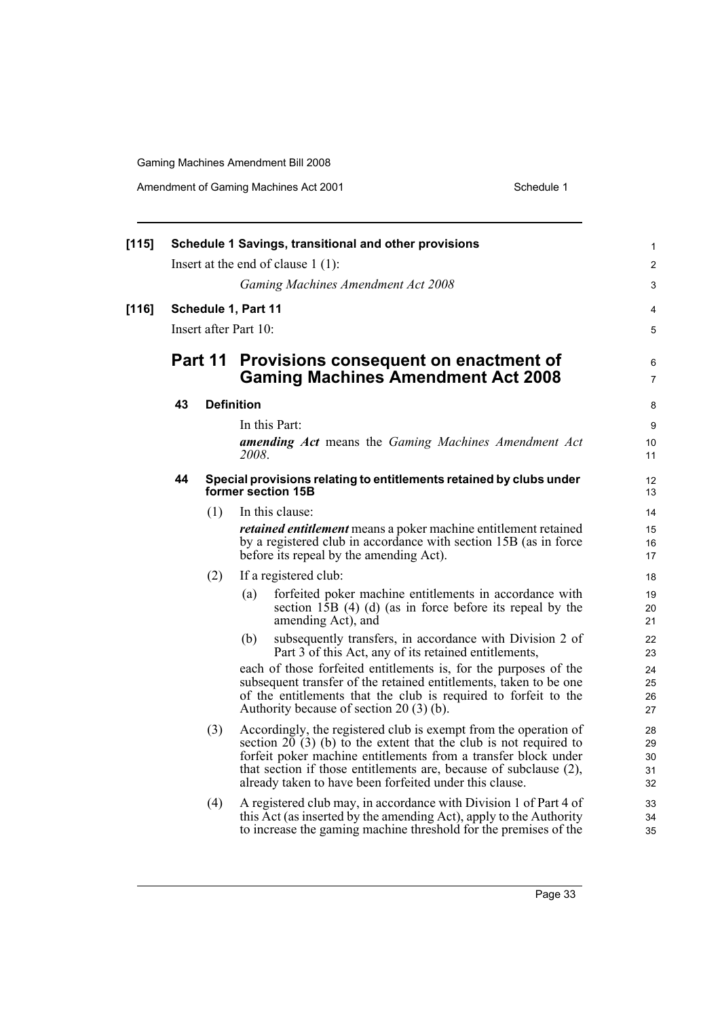| [115] | Schedule 1 Savings, transitional and other provisions |                     |                                                                |                                                                                                                                              |                         |  |
|-------|-------------------------------------------------------|---------------------|----------------------------------------------------------------|----------------------------------------------------------------------------------------------------------------------------------------------|-------------------------|--|
|       | Insert at the end of clause $1(1)$ :                  |                     |                                                                |                                                                                                                                              |                         |  |
|       |                                                       |                     |                                                                | Gaming Machines Amendment Act 2008                                                                                                           | 3                       |  |
| [116] |                                                       | Schedule 1, Part 11 |                                                                |                                                                                                                                              | 4                       |  |
|       | Insert after Part 10:                                 |                     |                                                                |                                                                                                                                              |                         |  |
|       | Part 11                                               |                     |                                                                | Provisions consequent on enactment of<br><b>Gaming Machines Amendment Act 2008</b>                                                           | 6<br>$\overline{7}$     |  |
|       | 43                                                    |                     | <b>Definition</b>                                              |                                                                                                                                              |                         |  |
|       |                                                       |                     |                                                                | In this Part:                                                                                                                                | 9                       |  |
|       |                                                       |                     | 2008.                                                          | <b>amending Act</b> means the Gaming Machines Amendment Act                                                                                  | 10<br>11                |  |
|       | 44                                                    |                     |                                                                | Special provisions relating to entitlements retained by clubs under<br>former section 15B                                                    | $12 \overline{ }$<br>13 |  |
|       |                                                       | (1)                 |                                                                | In this clause:                                                                                                                              | 14                      |  |
|       |                                                       |                     |                                                                | <i>retained entitlement</i> means a poker machine entitlement retained<br>by a registered club in accordance with section 15B (as in force   |                         |  |
|       |                                                       |                     |                                                                | before its repeal by the amending Act).                                                                                                      | 16<br>17                |  |
|       |                                                       | (2)                 |                                                                | If a registered club:                                                                                                                        | 18                      |  |
|       |                                                       |                     | (a)                                                            | forfeited poker machine entitlements in accordance with<br>section $15B$ (4) (d) (as in force before its repeal by the<br>amending Act), and | 19<br>20<br>21          |  |
|       |                                                       |                     | (b)                                                            | subsequently transfers, in accordance with Division 2 of<br>Part 3 of this Act, any of its retained entitlements,                            | 22<br>23                |  |
|       |                                                       |                     |                                                                | each of those forfeited entitlements is, for the purposes of the<br>subsequent transfer of the retained entitlements, taken to be one        | 24                      |  |
|       |                                                       |                     |                                                                | of the entitlements that the club is required to forfeit to the                                                                              | 25<br>26                |  |
|       |                                                       |                     |                                                                | Authority because of section 20 (3) (b).                                                                                                     | 27                      |  |
|       |                                                       | (3)                 |                                                                | Accordingly, the registered club is exempt from the operation of<br>section 20 $(3)$ (b) to the extent that the club is not required to      | 28<br>29                |  |
|       |                                                       |                     | forfeit poker machine entitlements from a transfer block under |                                                                                                                                              |                         |  |
|       |                                                       |                     |                                                                | that section if those entitlements are, because of subclause (2),<br>already taken to have been forfeited under this clause.                 | 31<br>32                |  |
|       |                                                       | (4)                 |                                                                | A registered club may, in accordance with Division 1 of Part 4 of                                                                            | 33                      |  |
|       |                                                       |                     |                                                                | this Act (as inserted by the amending Act), apply to the Authority<br>to increase the gaming machine threshold for the premises of the       | 34<br>35                |  |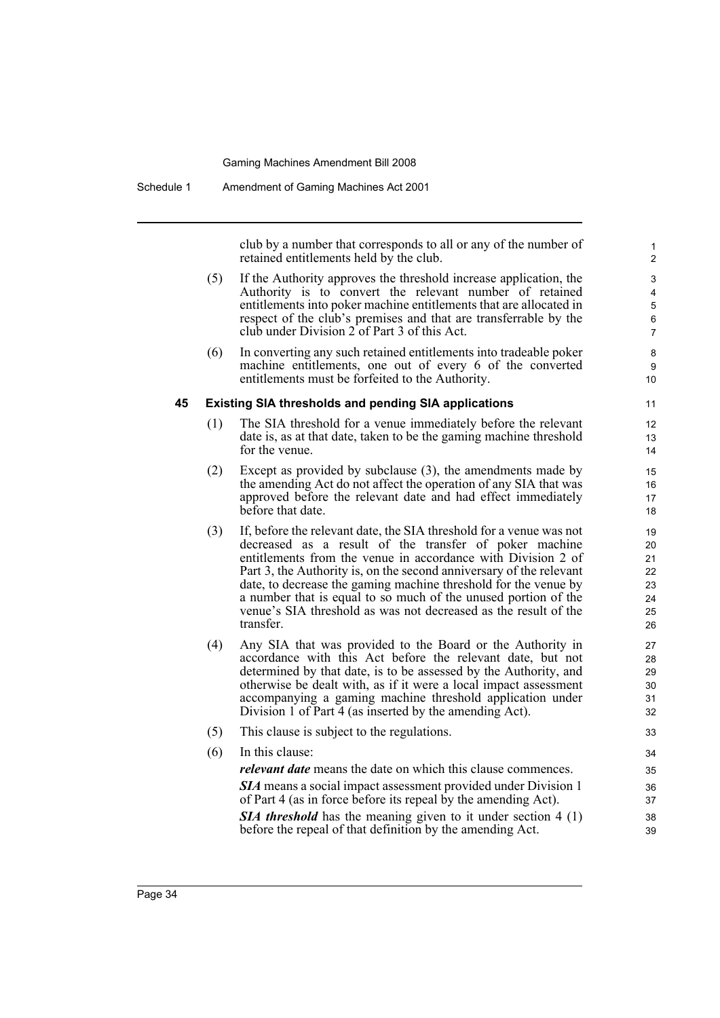Schedule 1 Amendment of Gaming Machines Act 2001

club by a number that corresponds to all or any of the number of retained entitlements held by the club.

- (5) If the Authority approves the threshold increase application, the Authority is to convert the relevant number of retained entitlements into poker machine entitlements that are allocated in respect of the club's premises and that are transferrable by the club under Division 2 of Part 3 of this Act.
- (6) In converting any such retained entitlements into tradeable poker machine entitlements, one out of every 6 of the converted entitlements must be forfeited to the Authority.

#### **45 Existing SIA thresholds and pending SIA applications**

- (1) The SIA threshold for a venue immediately before the relevant date is, as at that date, taken to be the gaming machine threshold for the venue.
- (2) Except as provided by subclause (3), the amendments made by the amending Act do not affect the operation of any SIA that was approved before the relevant date and had effect immediately before that date.
- (3) If, before the relevant date, the SIA threshold for a venue was not decreased as a result of the transfer of poker machine entitlements from the venue in accordance with Division 2 of Part 3, the Authority is, on the second anniversary of the relevant date, to decrease the gaming machine threshold for the venue by a number that is equal to so much of the unused portion of the venue's SIA threshold as was not decreased as the result of the transfer.
- (4) Any SIA that was provided to the Board or the Authority in accordance with this Act before the relevant date, but not determined by that date, is to be assessed by the Authority, and otherwise be dealt with, as if it were a local impact assessment accompanying a gaming machine threshold application under Division 1 of Part 4 (as inserted by the amending Act).
- (5) This clause is subject to the regulations. (6) In this clause: *relevant date* means the date on which this clause commences. *SIA* means a social impact assessment provided under Division 1 of Part 4 (as in force before its repeal by the amending Act). **SIA threshold** has the meaning given to it under section 4 (1) before the repeal of that definition by the amending Act.